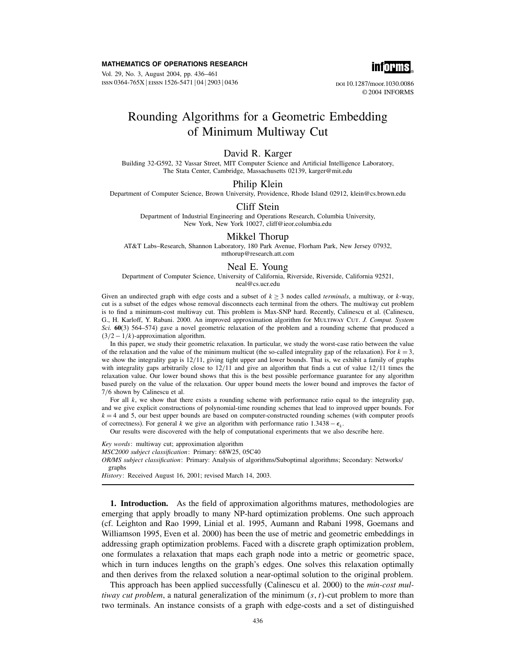#### MATHEMATICS OF OPERATIONS RESEARCH

Vol. 29, No. 3, August 2004, pp. 436–461 ISSN 0364-765X | EISSN 1526-5471 | 04 | 2903 | 0436



doi 10.1287/moor.1030.0086 © 2004 INFORMS

# Rounding Algorithms for a Geometric Embedding of Minimum Multiway Cut

# David R. Karger

Building 32-G592, 32 Vassar Street, MIT Computer Science and Artificial Intelligence Laboratory, The Stata Center, Cambridge, Massachusetts 02139, karger@mit.edu

## Philip Klein

Department of Computer Science, Brown University, Providence, Rhode Island 02912, klein@cs.brown.edu

#### Cliff Stein

Department of Industrial Engineering and Operations Research, Columbia University, New York, New York 10027, cliff@ieor.columbia.edu

#### Mikkel Thorup

AT&T Labs–Research, Shannon Laboratory, 180 Park Avenue, Florham Park, New Jersey 07932, mthorup@research.att.com

## Neal E. Young

Department of Computer Science, University of California, Riverside, Riverside, California 92521, neal@cs.ucr.edu

Given an undirected graph with edge costs and a subset of  $k > 3$  nodes called *terminals*, a multiway, or k-way, cut is a subset of the edges whose removal disconnects each terminal from the others. The multiway cut problem is to find a minimum-cost multiway cut. This problem is Max-SNP hard. Recently, Calinescu et al. (Calinescu, G., H. Karloff, Y. Rabani. 2000. An improved approximation algorithm for MULTIWAY CUT. J. Comput. System Sci. 60(3) 564–574) gave a novel geometric relaxation of the problem and a rounding scheme that produced a  $(3/2 - 1/k)$ -approximation algorithm.

In this paper, we study their geometric relaxation. In particular, we study the worst-case ratio between the value of the relaxation and the value of the minimum multicut (the so-called integrality gap of the relaxation). For  $k = 3$ , we show the integrality gap is 12/11, giving tight upper and lower bounds. That is, we exhibit a family of graphs with integrality gaps arbitrarily close to  $12/11$  and give an algorithm that finds a cut of value  $12/11$  times the relaxation value. Our lower bound shows that this is the best possible performance guarantee for any algorithm based purely on the value of the relaxation. Our upper bound meets the lower bound and improves the factor of 7/6 shown by Calinescu et al.

For all  $k$ , we show that there exists a rounding scheme with performance ratio equal to the integrality gap, and we give explicit constructions of polynomial-time rounding schemes that lead to improved upper bounds. For  $k = 4$  and 5, our best upper bounds are based on computer-constructed rounding schemes (with computer proofs of correctness). For general k we give an algorithm with performance ratio 1.3438 –  $\epsilon_k$ .

Our results were discovered with the help of computational experiments that we also describe here.

Key words: multiway cut; approximation algorithm

MSC2000 subject classification: Primary: 68W25, 05C40

OR/MS subject classification: Primary: Analysis of algorithms/Suboptimal algorithms; Secondary: Networks/ graphs

History: Received August 16, 2001; revised March 14, 2003.

1. Introduction. As the field of approximation algorithms matures, methodologies are emerging that apply broadly to many NP-hard optimization problems. One such approach (cf. Leighton and Rao 1999, Linial et al. 1995, Aumann and Rabani 1998, Goemans and Williamson 1995, Even et al. 2000) has been the use of metric and geometric embeddings in addressing graph optimization problems. Faced with a discrete graph optimization problem, one formulates a relaxation that maps each graph node into a metric or geometric space, which in turn induces lengths on the graph's edges. One solves this relaxation optimally and then derives from the relaxed solution a near-optimal solution to the original problem.

This approach has been applied successfully (Calinescu et al. 2000) to the *min-cost mul*tiway cut problem, a natural generalization of the minimum  $(s, t)$ -cut problem to more than two terminals. An instance consists of a graph with edge-costs and a set of distinguished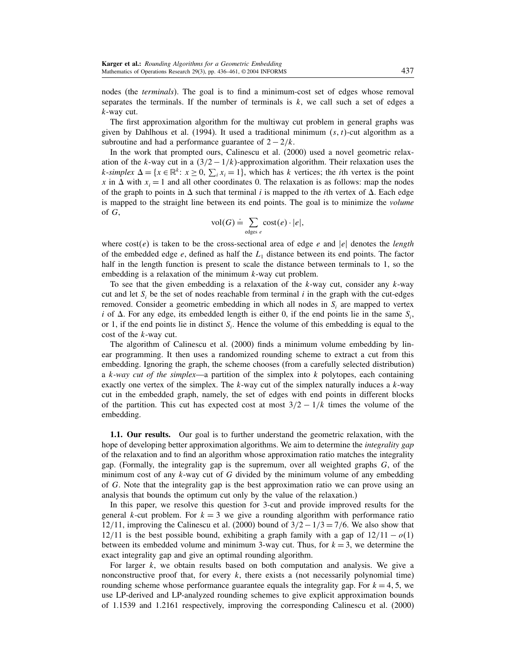nodes (the terminals). The goal is to find a minimum-cost set of edges whose removal separates the terminals. If the number of terminals is  $k$ , we call such a set of edges a k-way cut.

The first approximation algorithm for the multiway cut problem in general graphs was given by Dahlhous et al. (1994). It used a traditional minimum  $(s, t)$ -cut algorithm as a subroutine and had a performance guarantee of  $2 - \frac{2}{k}$ .

In the work that prompted ours, Calinescu et al. (2000) used a novel geometric relaxation of the k-way cut in a  $\left(\frac{3}{2} - \frac{1}{k}\right)$ -approximation algorithm. Their relaxation uses the k-simplex  $\Delta = \{x \in \mathbb{R}^k : x \ge 0, \sum_i x_i = 1\}$ , which has k vertices; the *i*th vertex is the point x in  $\Delta$  with  $x_i = 1$  and all other coordinates 0. The relaxation is as follows: map the nodes of the graph to points in  $\Delta$  such that terminal *i* is mapped to the *i*th vertex of  $\Delta$ . Each edge is mapped to the straight line between its end points. The goal is to minimize the *volume* of G,

$$
\text{vol}(G) \doteq \sum_{\text{edges } e} \text{cost}(e) \cdot |e|,
$$

where  $cost(e)$  is taken to be the cross-sectional area of edge e and |e| denotes the *length* of the embedded edge  $e$ , defined as half the  $L_1$  distance between its end points. The factor half in the length function is present to scale the distance between terminals to 1, so the embedding is a relaxation of the minimum k-way cut problem.

To see that the given embedding is a relaxation of the  $k$ -way cut, consider any  $k$ -way cut and let  $S_i$  be the set of nodes reachable from terminal i in the graph with the cut-edges removed. Consider a geometric embedding in which all nodes in  $S_i$  are mapped to vertex i of  $\Delta$ . For any edge, its embedded length is either 0, if the end points lie in the same  $S_i$ , or 1, if the end points lie in distinct  $S_i$ . Hence the volume of this embedding is equal to the cost of the k-way cut.

The algorithm of Calinescu et al. (2000) finds a minimum volume embedding by linear programming. It then uses a randomized rounding scheme to extract a cut from this embedding. Ignoring the graph, the scheme chooses (from a carefully selected distribution) a k-way cut of the simplex—a partition of the simplex into  $k$  polytopes, each containing exactly one vertex of the simplex. The  $k$ -way cut of the simplex naturally induces a  $k$ -way cut in the embedded graph, namely, the set of edges with end points in different blocks of the partition. This cut has expected cost at most  $3/2 - 1/k$  times the volume of the embedding.

1.1. Our results. Our goal is to further understand the geometric relaxation, with the hope of developing better approximation algorithms. We aim to determine the *integrality gap* of the relaxation and to find an algorithm whose approximation ratio matches the integrality gap. (Formally, the integrality gap is the supremum, over all weighted graphs  $G$ , of the minimum cost of any  $k$ -way cut of  $G$  divided by the minimum volume of any embedding of G. Note that the integrality gap is the best approximation ratio we can prove using an analysis that bounds the optimum cut only by the value of the relaxation.)

In this paper, we resolve this question for 3-cut and provide improved results for the general k-cut problem. For  $k = 3$  we give a rounding algorithm with performance ratio 12/11, improving the Calinescu et al. (2000) bound of  $3/2 - 1/3 = 7/6$ . We also show that 12/11 is the best possible bound, exhibiting a graph family with a gap of  $12/11 - o(1)$ between its embedded volume and minimum 3-way cut. Thus, for  $k = 3$ , we determine the exact integrality gap and give an optimal rounding algorithm.

For larger  $k$ , we obtain results based on both computation and analysis. We give a nonconstructive proof that, for every  $k$ , there exists a (not necessarily polynomial time) rounding scheme whose performance guarantee equals the integrality gap. For  $k = 4, 5$ , we use LP-derived and LP-analyzed rounding schemes to give explicit approximation bounds of 1.1539 and 1.2161 respectively, improving the corresponding Calinescu et al. (2000)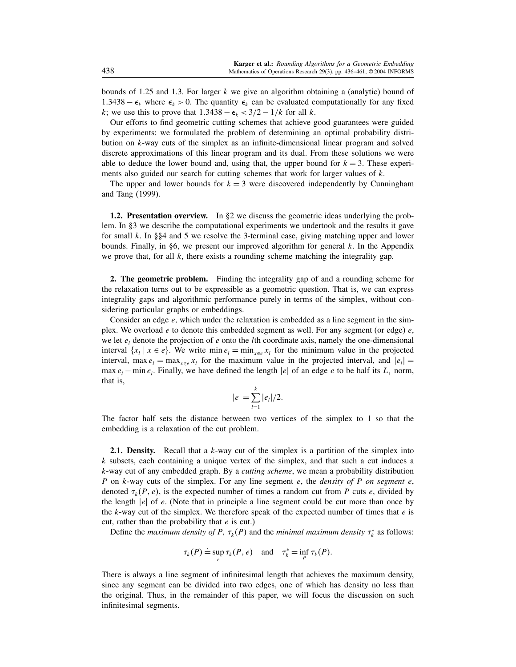bounds of 1.25 and 1.3. For larger  $k$  we give an algorithm obtaining a (analytic) bound of 1.3438 –  $\epsilon_k$  where  $\epsilon_k > 0$ . The quantity  $\epsilon_k$  can be evaluated computationally for any fixed k; we use this to prove that  $1.3438 - \epsilon_k < 3/2 - 1/k$  for all k.

Our efforts to find geometric cutting schemes that achieve good guarantees were guided by experiments: we formulated the problem of determining an optimal probability distribution on k-way cuts of the simplex as an infinite-dimensional linear program and solved discrete approximations of this linear program and its dual. From these solutions we were able to deduce the lower bound and, using that, the upper bound for  $k = 3$ . These experiments also guided our search for cutting schemes that work for larger values of  $k$ .

The upper and lower bounds for  $k = 3$  were discovered independently by Cunningham and Tang (1999).

**1.2. Presentation overview.** In  $\S2$  we discuss the geometric ideas underlying the problem. In §3 we describe the computational experiments we undertook and the results it gave for small k. In  $\S$ 4 and 5 we resolve the 3-terminal case, giving matching upper and lower bounds. Finally, in §6, we present our improved algorithm for general k. In the Appendix we prove that, for all  $k$ , there exists a rounding scheme matching the integrality gap.

2. The geometric problem. Finding the integrality gap of and a rounding scheme for the relaxation turns out to be expressible as a geometric question. That is, we can express integrality gaps and algorithmic performance purely in terms of the simplex, without considering particular graphs or embeddings.

Consider an edge  $e$ , which under the relaxation is embedded as a line segment in the simplex. We overload  $e$  to denote this embedded segment as well. For any segment (or edge)  $e$ , we let  $e_i$  denote the projection of e onto the lth coordinate axis, namely the one-dimensional interval  $\{x_i \mid x \in e\}$ . We write min  $e_i = \min_{x \in e} x_i$  for the minimum value in the projected interval, max  $e_l = \max_{x \in e} x_l$  for the maximum value in the projected interval, and  $|e_l|$ max  $e_l$  – min  $e_l$ . Finally, we have defined the length  $|e|$  of an edge e to be half its  $L_1$  norm, that is,

$$
|e| = \sum_{l=1}^{k} |e_l|/2.
$$

The factor half sets the distance between two vertices of the simplex to 1 so that the embedding is a relaxation of the cut problem.

**2.1. Density.** Recall that a k-way cut of the simplex is a partition of the simplex into  $k$  subsets, each containing a unique vertex of the simplex, and that such a cut induces a  $k$ -way cut of any embedded graph. By a *cutting scheme*, we mean a probability distribution P on  $k$ -way cuts of the simplex. For any line segment e, the *density of P on segment e*, denoted  $\tau_k(P, e)$ , is the expected number of times a random cut from P cuts e, divided by the length  $|e|$  of e. (Note that in principle a line segment could be cut more than once by the  $k$ -way cut of the simplex. We therefore speak of the expected number of times that  $e$  is cut, rather than the probability that  $e$  is cut.)

Define the *maximum density of P*,  $\tau_k(P)$  and the *minimal maximum density*  $\tau_k^*$  as follows:

$$
\tau_k(P) \doteq \sup_e \tau_k(P, e)
$$
 and  $\tau_k^* = \inf_p \tau_k(P)$ .

There is always a line segment of infinitesimal length that achieves the maximum density, since any segment can be divided into two edges, one of which has density no less than the original. Thus, in the remainder of this paper, we will focus the discussion on such infinitesimal segments.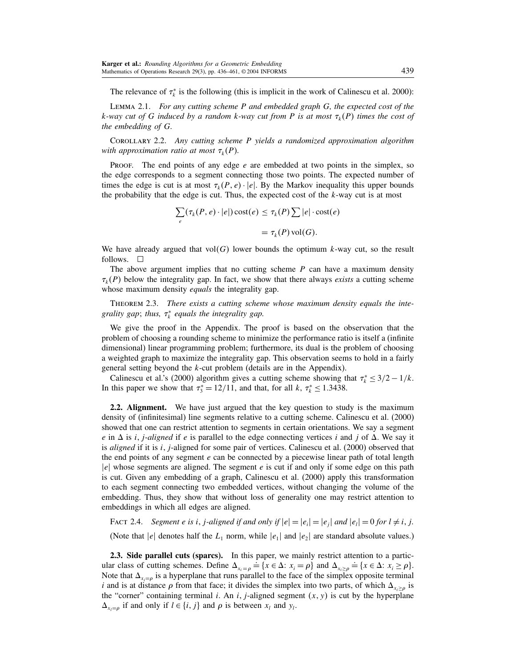The relevance of  $\tau_k^*$  is the following (this is implicit in the work of Calinescu et al. 2000):

Lemma 2.1. For any cutting scheme P and embedded graph G, the expected cost of the k-way cut of G induced by a random k-way cut from P is at most  $\tau_k(P)$  times the cost of the embedding of G.

Corollary 2.2. Any cutting scheme P yields a randomized approximation algorithm with approximation ratio at most  $\tau_k(P)$ .

PROOF. The end points of any edge  $e$  are embedded at two points in the simplex, so the edge corresponds to a segment connecting those two points. The expected number of times the edge is cut is at most  $\tau_k(P, e) \cdot |e|$ . By the Markov inequality this upper bounds the probability that the edge is cut. Thus, the expected cost of the  $k$ -way cut is at most

$$
\sum_{e} (\tau_k(P, e) \cdot |e|) \cot(e) \le \tau_k(P) \sum |e| \cdot \cot(e)
$$

$$
= \tau_k(P) \operatorname{vol}(G).
$$

We have already argued that  $vol(G)$  lower bounds the optimum k-way cut, so the result follows.  $\square$ 

The above argument implies that no cutting scheme  $P$  can have a maximum density  $\tau_k(P)$  below the integrality gap. In fact, we show that there always *exists* a cutting scheme whose maximum density *equals* the integrality gap.

Theorem 2.3. There exists a cutting scheme whose maximum density equals the integrality gap; thus,  $\tau_k^*$  equals the integrality gap.

We give the proof in the Appendix. The proof is based on the observation that the problem of choosing a rounding scheme to minimize the performance ratio is itself a (infinite dimensional) linear programming problem; furthermore, its dual is the problem of choosing a weighted graph to maximize the integrality gap. This observation seems to hold in a fairly general setting beyond the k-cut problem (details are in the Appendix).

Calinescu et al.'s (2000) algorithm gives a cutting scheme showing that  $\tau_k^* \leq 3/2 - 1/k$ . In this paper we show that  $\tau_3^* = 12/11$ , and that, for all k,  $\tau_k^* \le 1.3438$ .

2.2. Alignment. We have just argued that the key question to study is the maximum density of (infinitesimal) line segments relative to a cutting scheme. Calinescu et al. (2000) showed that one can restrict attention to segments in certain orientations. We say a segment e in  $\Delta$  is *i*, *j*-aligned if e is parallel to the edge connecting vertices *i* and *j* of  $\Delta$ . We say it is *aligned* if it is  $i$ ,  $j$ -aligned for some pair of vertices. Calinescu et al. (2000) observed that the end points of any segment  $e$  can be connected by a piecewise linear path of total length  $|e|$  whose segments are aligned. The segment e is cut if and only if some edge on this path is cut. Given any embedding of a graph, Calinescu et al. (2000) apply this transformation to each segment connecting two embedded vertices, without changing the volume of the embedding. Thus, they show that without loss of generality one may restrict attention to embeddings in which all edges are aligned.

FACT 2.4. Segment e is i, j-aligned if and only if  $|e|=|e_i|=|e_i|$  and  $|e_i|=0$  for  $l \neq i, j$ .

(Note that |e| denotes half the  $L_1$  norm, while  $|e_1|$  and  $|e_2|$  are standard absolute values.)

2.3. Side parallel cuts (sparcs). In this paper, we mainly restrict attention to a particular class of cutting schemes. Define  $\Delta_{x_i = \rho}$  $\stackrel{\text{per}}{=} \{x \in \Delta : x_i = \rho\} \text{ and } \Delta_{x_i \ge \rho}$  $\stackrel{\text{def}}{=} \{x \in \Delta: x_i \geq \rho\}.$ Note that  $\Delta_{x_i=\rho}$  is a hyperplane that runs parallel to the face of the simplex opposite terminal i and is at distance  $\rho$  from that face; it divides the simplex into two parts, of which  $\Delta_{x_i \ge \rho}$  is the "corner" containing terminal *i*. An *i*, *j*-aligned segment  $(x, y)$  is cut by the hyperplane  $\Delta_{x_l=\rho}$  if and only if  $l \in \{i, j\}$  and  $\rho$  is between  $x_l$  and  $y_l$ .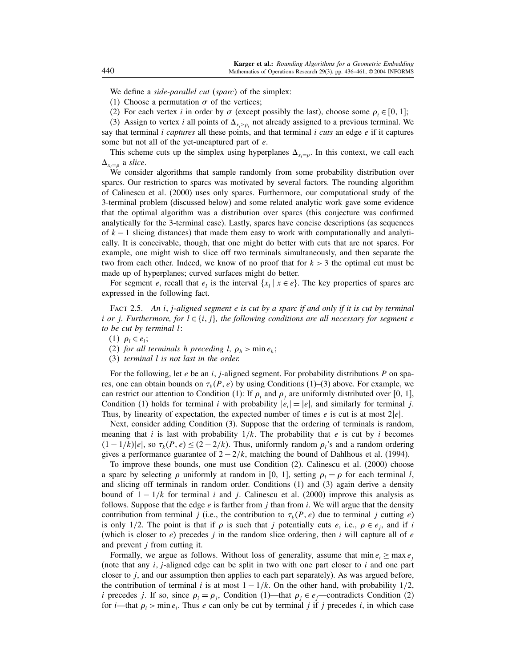We define a *side-parallel cut* (sparc) of the simplex:

(1) Choose a permutation  $\sigma$  of the vertices;

(2) For each vertex i in order by  $\sigma$  (except possibly the last), choose some  $\rho_i \in [0, 1]$ ;

(3) Assign to vertex *i* all points of  $\Delta_{x_i \ge \rho_i}$  not already assigned to a previous terminal. We say that terminal i captures all these points, and that terminal i cuts an edge  $e$  if it captures some but not all of the yet-uncaptured part of e.

This scheme cuts up the simplex using hyperplanes  $\Delta_{x_i=\rho}$ . In this context, we call each  $\Delta_{x_i=\rho}$  a slice.

We consider algorithms that sample randomly from some probability distribution over sparcs. Our restriction to sparcs was motivated by several factors. The rounding algorithm of Calinescu et al. (2000) uses only sparcs. Furthermore, our computational study of the 3-terminal problem (discussed below) and some related analytic work gave some evidence that the optimal algorithm was a distribution over sparcs (this conjecture was confirmed analytically for the 3-terminal case). Lastly, sparcs have concise descriptions (as sequences of  $k - 1$  slicing distances) that made them easy to work with computationally and analytically. It is conceivable, though, that one might do better with cuts that are not sparcs. For example, one might wish to slice off two terminals simultaneously, and then separate the two from each other. Indeed, we know of no proof that for  $k > 3$  the optimal cut must be made up of hyperplanes; curved surfaces might do better.

For segment e, recall that  $e_i$  is the interval  $\{x_i \mid x \in e\}$ . The key properties of sparcs are expressed in the following fact.

FACT 2.5. An  $i$ , j-aligned segment e is cut by a sparc if and only if it is cut by terminal i or j. Furthermore, for  $l \in \{i, j\}$ , the following conditions are all necessary for segment e to be cut by terminal l:

(1)  $\rho_i \in e_i$ ;

(2) for all terminals h preceding l,  $\rho_h > \min e_h$ ;

(3) terminal l is not last in the order.

For the following, let  $e$  be an i, j-aligned segment. For probability distributions  $P$  on sparcs, one can obtain bounds on  $\tau_k(P, e)$  by using Conditions (1)–(3) above. For example, we can restrict our attention to Condition (1): If  $\rho_i$  and  $\rho_i$  are uniformly distributed over [0, 1], Condition (1) holds for terminal i with probability  $|e_i|=|e|$ , and similarly for terminal j. Thus, by linearity of expectation, the expected number of times e is cut is at most  $2|e|$ .

Next, consider adding Condition (3). Suppose that the ordering of terminals is random, meaning that i is last with probability  $1/k$ . The probability that e is cut by i becomes  $(1 - 1/k)|e|$ , so  $\tau_k(P, e) \le (2 - 2/k)$ . Thus, uniformly random  $\rho_i$ 's and a random ordering gives a performance guarantee of  $2 - \frac{2}{k}$ , matching the bound of Dahlhous et al. (1994).

To improve these bounds, one must use Condition (2). Calinescu et al. (2000) choose a sparc by selecting  $\rho$  uniformly at random in [0, 1], setting  $\rho_i = \rho$  for each terminal l, and slicing off terminals in random order. Conditions (1) and (3) again derive a density bound of  $1 - 1/k$  for terminal i and j. Calinescu et al. (2000) improve this analysis as follows. Suppose that the edge  $e$  is farther from *j* than from *i*. We will argue that the density contribution from terminal j (i.e., the contribution to  $\tau_k(P, e)$  due to terminal j cutting e) is only 1/2. The point is that if  $\rho$  is such that j potentially cuts e, i.e.,  $\rho \in e_i$ , and if i (which is closer to  $e$ ) precedes j in the random slice ordering, then i will capture all of  $e$ and prevent  $j$  from cutting it.

Formally, we argue as follows. Without loss of generality, assume that  $\min e_i \geq \max e_i$ (note that any  $i$ ,  $j$ -aligned edge can be split in two with one part closer to  $i$  and one part closer to  $j$ , and our assumption then applies to each part separately). As was argued before, the contribution of terminal i is at most  $1 - 1/k$ . On the other hand, with probability 1/2, *i* precedes *j*. If so, since  $\rho_i = \rho_j$ , Condition (1)—that  $\rho_i \in e_j$ —contradicts Condition (2) for *i*—that  $\rho_i$  > min  $e_i$ . Thus e can only be cut by terminal *j* if *j* precedes *i*, in which case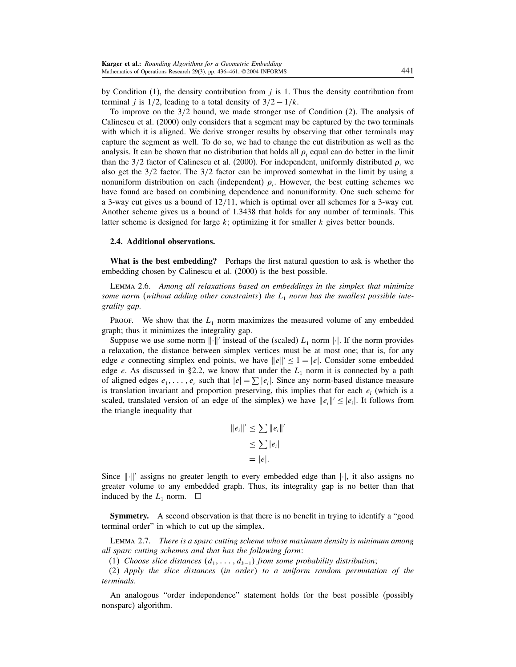by Condition  $(1)$ , the density contribution from j is 1. Thus the density contribution from terminal *j* is  $1/2$ , leading to a total density of  $3/2 - 1/k$ .

To improve on the 3/2 bound, we made stronger use of Condition (2). The analysis of Calinescu et al. (2000) only considers that a segment may be captured by the two terminals with which it is aligned. We derive stronger results by observing that other terminals may capture the segment as well. To do so, we had to change the cut distribution as well as the analysis. It can be shown that no distribution that holds all  $\rho_i$  equal can do better in the limit than the 3/2 factor of Calinescu et al. (2000). For independent, uniformly distributed  $\rho_i$  we also get the 3/2 factor. The 3/2 factor can be improved somewhat in the limit by using a nonuniform distribution on each (independent)  $\rho_i$ . However, the best cutting schemes we have found are based on combining dependence and nonuniformity. One such scheme for a 3-way cut gives us a bound of 12/11, which is optimal over all schemes for a 3-way cut. Another scheme gives us a bound of 1.3438 that holds for any number of terminals. This latter scheme is designed for large  $k$ ; optimizing it for smaller  $k$  gives better bounds.

#### 2.4. Additional observations.

What is the best embedding? Perhaps the first natural question to ask is whether the embedding chosen by Calinescu et al. (2000) is the best possible.

Lemma 2.6. Among all relaxations based on embeddings in the simplex that minimize some norm (without adding other constraints) the  $L_1$  norm has the smallest possible integrality gap.

Proof. We show that the  $L_1$  norm maximizes the measured volume of any embedded graph; thus it minimizes the integrality gap.

Suppose we use some norm  $\lVert \cdot \rVert'$  instead of the (scaled)  $L_1$  norm  $\lVert \cdot \rVert$ . If the norm provides a relaxation, the distance between simplex vertices must be at most one; that is, for any edge *e* connecting simplex end points, we have  $||e||' \le 1 = |e|$ . Consider some embedded edge e. As discussed in §2.2, we know that under the  $L_1$  norm it is connected by a path of aligned edges  $e_1, \ldots, e_r$  such that  $|e| = \sum |e_i|$ . Since any norm-based distance measure is translation invariant and proportion preserving, this implies that for each  $e_i$  (which is a scaled, translated version of an edge of the simplex) we have  $||e_i||' \le |e_i|$ . It follows from the triangle inequality that

$$
||e_i||' \leq \sum ||e_i||'
$$
  
\n
$$
\leq \sum |e_i|
$$
  
\n
$$
= |e|.
$$

Since  $\|\cdot\|'$  assigns no greater length to every embedded edge than  $|\cdot|$ , it also assigns no greater volume to any embedded graph. Thus, its integrality gap is no better than that induced by the  $L_1$  norm.  $\Box$ 

Symmetry. A second observation is that there is no benefit in trying to identify a "good terminal order" in which to cut up the simplex.

Lemma 2.7. There is a sparc cutting scheme whose maximum density is minimum among all sparc cutting schemes and that has the following form:

(1) Choose slice distances  $(d_1, \ldots, d_{k-1})$  from some probability distribution;

(2) Apply the slice distances (in order) to a uniform random permutation of the terminals.

An analogous "order independence" statement holds for the best possible (possibly nonsparc) algorithm.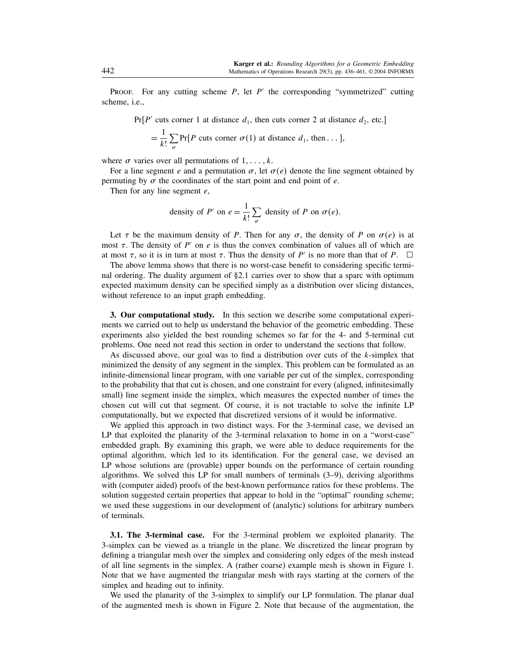PROOF. For any cutting scheme  $P$ , let  $P'$  the corresponding "symmetrized" cutting scheme, i.e.,

 $Pr[P' \text{ cuts corner 1 at distance } d_1, \text{ then cuts corner 2 at distance } d_2, \text{ etc.}]$ 

$$
= \frac{1}{k!} \sum_{\sigma} \Pr[P \text{ cuts corner } \sigma(1) \text{ at distance } d_1, \text{ then} \dots],
$$

where  $\sigma$  varies over all permutations of  $1, \ldots, k$ .

For a line segment e and a permutation  $\sigma$ , let  $\sigma(e)$  denote the line segment obtained by permuting by  $\sigma$  the coordinates of the start point and end point of  $e$ .

Then for any line segment  $e$ ,

density of *P'* on 
$$
e = \frac{1}{k!} \sum_{\sigma}
$$
 density of *P* on  $\sigma(e)$ .

Let  $\tau$  be the maximum density of P. Then for any  $\sigma$ , the density of P on  $\sigma(e)$  is at most  $\tau$ . The density of P' on e is thus the convex combination of values all of which are at most  $\tau$ , so it is in turn at most  $\tau$ . Thus the density of P' is no more than that of P.  $\Box$ 

The above lemma shows that there is no worst-case benefit to considering specific terminal ordering. The duality argument of §2.1 carries over to show that a sparc with optimum expected maximum density can be specified simply as a distribution over slicing distances, without reference to an input graph embedding.

3. Our computational study. In this section we describe some computational experiments we carried out to help us understand the behavior of the geometric embedding. These experiments also yielded the best rounding schemes so far for the 4- and 5-terminal cut problems. One need not read this section in order to understand the sections that follow.

As discussed above, our goal was to find a distribution over cuts of the k-simplex that minimized the density of any segment in the simplex. This problem can be formulated as an infinite-dimensional linear program, with one variable per cut of the simplex, corresponding to the probability that that cut is chosen, and one constraint for every (aligned, infinitesimally small) line segment inside the simplex, which measures the expected number of times the chosen cut will cut that segment. Of course, it is not tractable to solve the infinite LP computationally, but we expected that discretized versions of it would be informative.

We applied this approach in two distinct ways. For the 3-terminal case, we devised an LP that exploited the planarity of the 3-terminal relaxation to home in on a "worst-case" embedded graph. By examining this graph, we were able to deduce requirements for the optimal algorithm, which led to its identification. For the general case, we devised an LP whose solutions are (provable) upper bounds on the performance of certain rounding algorithms. We solved this LP for small numbers of terminals (3–9), deriving algorithms with (computer aided) proofs of the best-known performance ratios for these problems. The solution suggested certain properties that appear to hold in the "optimal" rounding scheme; we used these suggestions in our development of (analytic) solutions for arbitrary numbers of terminals.

3.1. The 3-terminal case. For the 3-terminal problem we exploited planarity. The 3-simplex can be viewed as a triangle in the plane. We discretized the linear program by defining a triangular mesh over the simplex and considering only edges of the mesh instead of all line segments in the simplex. A (rather coarse) example mesh is shown in Figure 1. Note that we have augmented the triangular mesh with rays starting at the corners of the simplex and heading out to infinity.

We used the planarity of the 3-simplex to simplify our LP formulation. The planar dual of the augmented mesh is shown in Figure 2. Note that because of the augmentation, the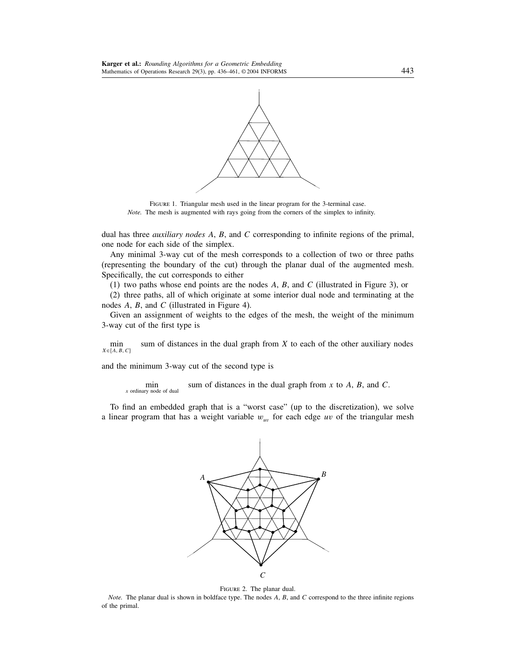

FIGURE 1. Triangular mesh used in the linear program for the 3-terminal case. Note. The mesh is augmented with rays going from the corners of the simplex to infinity.

dual has three *auxiliary nodes A, B,* and C corresponding to infinite regions of the primal, one node for each side of the simplex.

Any minimal 3-way cut of the mesh corresponds to a collection of two or three paths (representing the boundary of the cut) through the planar dual of the augmented mesh. Specifically, the cut corresponds to either

(1) two paths whose end points are the nodes A, B, and C (illustrated in Figure 3), or

(2) three paths, all of which originate at some interior dual node and terminating at the nodes A, B, and C (illustrated in Figure 4).

Given an assignment of weights to the edges of the mesh, the weight of the minimum 3-way cut of the first type is

 $\min_{X \in \{A, B, C\}}$ sum of distances in the dual graph from  $X$  to each of the other auxiliary nodes

and the minimum 3-way cut of the second type is

min sum of distances in the dual graph from x to A, B, and C.

To find an embedded graph that is a "worst case" (up to the discretization), we solve a linear program that has a weight variable  $w_{uv}$  for each edge uv of the triangular mesh



Figure 2. The planar dual.

Note. The planar dual is shown in boldface type. The nodes  $A$ ,  $B$ , and  $C$  correspond to the three infinite regions of the primal.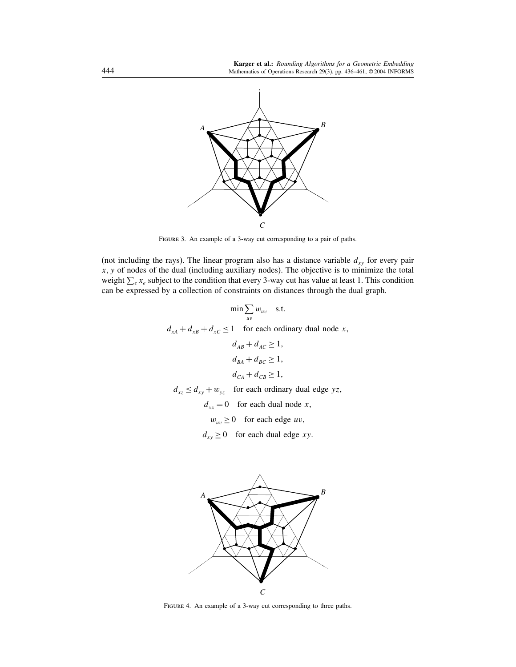

FIGURE 3. An example of a 3-way cut corresponding to a pair of paths.

(not including the rays). The linear program also has a distance variable  $d_{xy}$  for every pair  $x, y$  of nodes of the dual (including auxiliary nodes). The objective is to minimize the total weight  $\sum_{e} x_e$  subject to the condition that every 3-way cut has value at least 1. This condition can be expressed by a collection of constraints on distances through the dual graph.

$$
\min \sum_{uv} w_{uv} \quad \text{s.t.}
$$

 $d_{xA} + d_{xB} + d_{xC} \le 1$  for each ordinary dual node x,

$$
d_{AB} + d_{AC} \ge 1,
$$
  
\n
$$
d_{BA} + d_{BC} \ge 1,
$$
  
\n
$$
d_{CA} + d_{CB} \ge 1,
$$

$$
d_{xz} \le d_{xy} + w_{yz}
$$
 for each ordinary dual edge  $yz$ ,

 $d_{xx} = 0$  for each dual node x,

 $w_{uv} \ge 0$  for each edge uv,

 $d_{xy} \ge 0$  for each dual edge xy.



FIGURE 4. An example of a 3-way cut corresponding to three paths.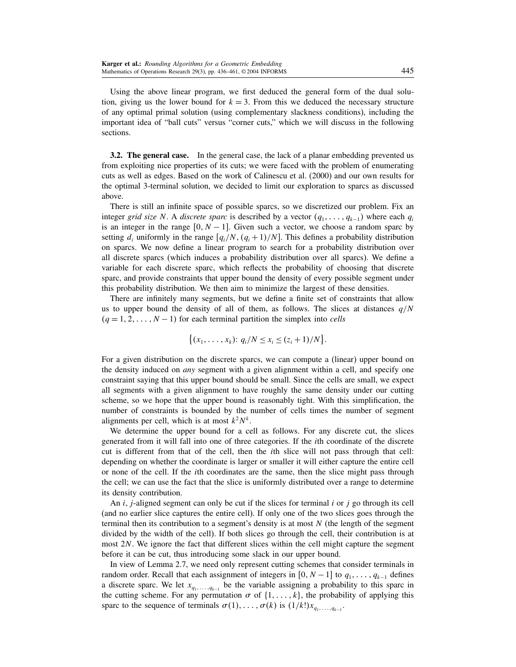Using the above linear program, we first deduced the general form of the dual solution, giving us the lower bound for  $k = 3$ . From this we deduced the necessary structure of any optimal primal solution (using complementary slackness conditions), including the important idea of "ball cuts" versus "corner cuts," which we will discuss in the following sections.

**3.2. The general case.** In the general case, the lack of a planar embedding prevented us from exploiting nice properties of its cuts; we were faced with the problem of enumerating cuts as well as edges. Based on the work of Calinescu et al. (2000) and our own results for the optimal 3-terminal solution, we decided to limit our exploration to sparcs as discussed above.

There is still an infinite space of possible sparcs, so we discretized our problem. Fix an integer grid size N. A discrete sparc is described by a vector  $(q_1, \ldots, q_{k-1})$  where each  $q_i$ is an integer in the range  $[0, N - 1]$ . Given such a vector, we choose a random sparc by setting  $d_i$  uniformly in the range  $[q_i/N, (q_i+1)/N]$ . This defines a probability distribution on sparcs. We now define a linear program to search for a probability distribution over all discrete sparcs (which induces a probability distribution over all sparcs). We define a variable for each discrete sparc, which reflects the probability of choosing that discrete sparc, and provide constraints that upper bound the density of every possible segment under this probability distribution. We then aim to minimize the largest of these densities.

There are infinitely many segments, but we define a finite set of constraints that allow us to upper bound the density of all of them, as follows. The slices at distances  $q/N$  $(q = 1, 2, \dots, N - 1)$  for each terminal partition the simplex into *cells* 

$$
\{(x_1, \ldots, x_k): q_i/N \le x_i \le (z_i+1)/N\}.
$$

For a given distribution on the discrete sparcs, we can compute a (linear) upper bound on the density induced on *any* segment with a given alignment within a cell, and specify one constraint saying that this upper bound should be small. Since the cells are small, we expect all segments with a given alignment to have roughly the same density under our cutting scheme, so we hope that the upper bound is reasonably tight. With this simplification, the number of constraints is bounded by the number of cells times the number of segment alignments per cell, which is at most  $k^2N^k$ .

We determine the upper bound for a cell as follows. For any discrete cut, the slices generated from it will fall into one of three categories. If the ith coordinate of the discrete cut is different from that of the cell, then the ith slice will not pass through that cell: depending on whether the coordinate is larger or smaller it will either capture the entire cell or none of the cell. If the ith coordinates are the same, then the slice might pass through the cell; we can use the fact that the slice is uniformly distributed over a range to determine its density contribution.

An i, j-aligned segment can only be cut if the slices for terminal i or j go through its cell (and no earlier slice captures the entire cell). If only one of the two slices goes through the terminal then its contribution to a segment's density is at most  $N$  (the length of the segment divided by the width of the cell). If both slices go through the cell, their contribution is at most 2N. We ignore the fact that different slices within the cell might capture the segment before it can be cut, thus introducing some slack in our upper bound.

In view of Lemma 2.7, we need only represent cutting schemes that consider terminals in random order. Recall that each assignment of integers in  $[0, N - 1]$  to  $q_1, \ldots, q_{k-1}$  defines a discrete sparc. We let  $x_{q_1, \ldots, q_{k-1}}$  be the variable assigning a probability to this sparc in the cutting scheme. For any permutation  $\sigma$  of  $\{1, \ldots, k\}$ , the probability of applying this sparc to the sequence of terminals  $\sigma(1), \ldots, \sigma(k)$  is  $(1/k!) x_{q_1, \ldots, q_{k-1}}$ .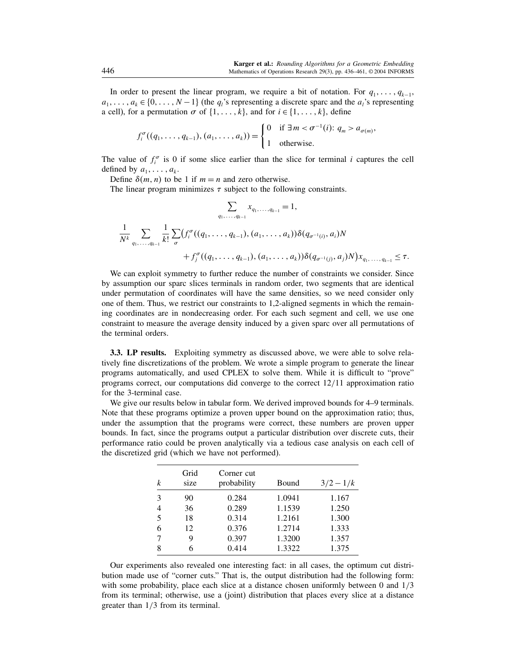In order to present the linear program, we require a bit of notation. For  $q_1, \ldots, q_{k-1}$ ,  $a_1, \ldots, a_k \in \{0, \ldots, N-1\}$  (the  $q_i$ 's representing a discrete sparc and the  $a_i$ 's representing a cell), for a permutation  $\sigma$  of  $\{1, \ldots, k\}$ , and for  $i \in \{1, \ldots, k\}$ , define

$$
f_i^{\sigma}((q_1,\ldots,q_{k-1}),(a_1,\ldots,a_k))=\begin{cases}0 & \text{if }\exists m<\sigma^{-1}(i): q_m>a_{\sigma(m)},\\1 & \text{otherwise.}\end{cases}
$$

The value of  $f_i^{\sigma}$  is 0 if some slice earlier than the slice for terminal i captures the cell defined by  $a_1, \ldots, a_k$ .

Define  $\delta(m, n)$  to be 1 if  $m = n$  and zero otherwise.

The linear program minimizes  $\tau$  subject to the following constraints.

$$
\sum_{q_1, \dots, q_{k-1}} x_{q_1, \dots, q_{k-1}} = 1,
$$
\n
$$
\frac{1}{N^k} \sum_{q_1, \dots, q_{k-1}} \frac{1}{k!} \sum_{\sigma} (f_i^{\sigma}((q_1, \dots, q_{k-1}), (a_1, \dots, a_k)) \delta(q_{\sigma^{-1}(i)}, a_i)N + f_j^{\sigma}((q_1, \dots, q_{k-1}), (a_1, \dots, a_k)) \delta(q_{\sigma^{-1}(j)}, a_j)N) x_{q_1, \dots, q_{k-1}} \leq \tau.
$$

We can exploit symmetry to further reduce the number of constraints we consider. Since by assumption our sparc slices terminals in random order, two segments that are identical under permutation of coordinates will have the same densities, so we need consider only one of them. Thus, we restrict our constraints to 1,2-aligned segments in which the remaining coordinates are in nondecreasing order. For each such segment and cell, we use one constraint to measure the average density induced by a given sparc over all permutations of the terminal orders.

3.3. LP results. Exploiting symmetry as discussed above, we were able to solve relatively fine discretizations of the problem. We wrote a simple program to generate the linear programs automatically, and used CPLEX to solve them. While it is difficult to "prove" programs correct, our computations did converge to the correct 12/11 approximation ratio for the 3-terminal case.

We give our results below in tabular form. We derived improved bounds for 4–9 terminals. Note that these programs optimize a proven upper bound on the approximation ratio; thus, under the assumption that the programs were correct, these numbers are proven upper bounds. In fact, since the programs output a particular distribution over discrete cuts, their performance ratio could be proven analytically via a tedious case analysis on each cell of the discretized grid (which we have not performed).

| k | Grid<br>size | Corner cut<br>probability | <b>Bound</b> | $3/2 - 1/k$ |
|---|--------------|---------------------------|--------------|-------------|
| 3 | 90           | 0.284                     | 1.0941       | 1.167       |
| 4 | 36           | 0.289                     | 1.1539       | 1.250       |
| 5 | 18           | 0.314                     | 1.2161       | 1.300       |
| 6 | 12           | 0.376                     | 1.2714       | 1.333       |
|   | 9            | 0.397                     | 1.3200       | 1.357       |
| 8 | 6            | 0.414                     | 1.3322       | 1.375       |

Our experiments also revealed one interesting fact: in all cases, the optimum cut distribution made use of "corner cuts." That is, the output distribution had the following form: with some probability, place each slice at a distance chosen uniformly between 0 and  $1/3$ from its terminal; otherwise, use a (joint) distribution that places every slice at a distance greater than 1/3 from its terminal.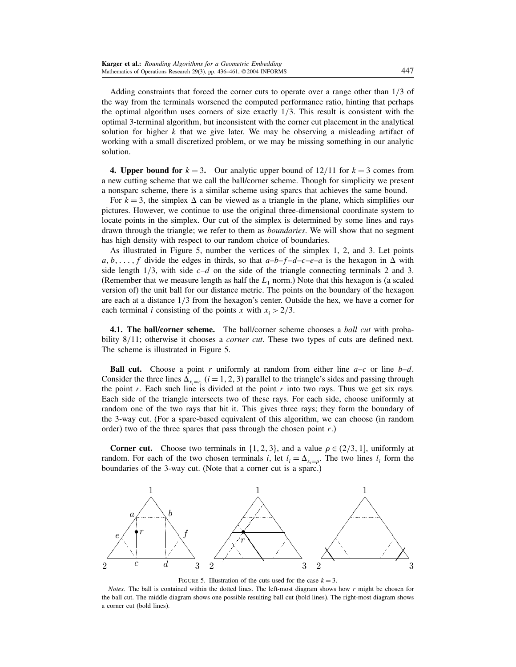Adding constraints that forced the corner cuts to operate over a range other than 1/3 of the way from the terminals worsened the computed performance ratio, hinting that perhaps the optimal algorithm uses corners of size exactly  $1/3$ . This result is consistent with the optimal 3-terminal algorithm, but inconsistent with the corner cut placement in the analytical solution for higher  $k$  that we give later. We may be observing a misleading artifact of working with a small discretized problem, or we may be missing something in our analytic solution.

4. Upper bound for  $k = 3$ . Our analytic upper bound of  $12/11$  for  $k = 3$  comes from a new cutting scheme that we call the ball/corner scheme. Though for simplicity we present a nonsparc scheme, there is a similar scheme using sparcs that achieves the same bound.

For  $k = 3$ , the simplex  $\Delta$  can be viewed as a triangle in the plane, which simplifies our pictures. However, we continue to use the original three-dimensional coordinate system to locate points in the simplex. Our cut of the simplex is determined by some lines and rays drawn through the triangle; we refer to them as *boundaries*. We will show that no segment has high density with respect to our random choice of boundaries.

As illustrated in Figure 5, number the vertices of the simplex 1, 2, and 3. Let points  $a, b, \ldots, f$  divide the edges in thirds, so that  $a-b-f-d-c-e-a$  is the hexagon in  $\Delta$  with side length  $1/3$ , with side  $c-d$  on the side of the triangle connecting terminals 2 and 3. (Remember that we measure length as half the  $L_1$  norm.) Note that this hexagon is (a scaled version of) the unit ball for our distance metric. The points on the boundary of the hexagon are each at a distance 1/3 from the hexagon's center. Outside the hex, we have a corner for each terminal *i* consisting of the points x with  $x_i > 2/3$ .

4.1. The ball/corner scheme. The ball/corner scheme chooses a *ball cut* with probability 8/11; otherwise it chooses a *corner cut*. These two types of cuts are defined next. The scheme is illustrated in Figure 5.

**Ball cut.** Choose a point r uniformly at random from either line  $a-c$  or line  $b-d$ . Consider the three lines  $\Delta_{x_i=r_i}$  ( $i = 1, 2, 3$ ) parallel to the triangle's sides and passing through the point r. Each such line is divided at the point r into two rays. Thus we get six rays. Each side of the triangle intersects two of these rays. For each side, choose uniformly at random one of the two rays that hit it. This gives three rays; they form the boundary of the 3-way cut. (For a sparc-based equivalent of this algorithm, we can choose (in random order) two of the three sparcs that pass through the chosen point  $r$ .)

**Corner cut.** Choose two terminals in  $\{1, 2, 3\}$ , and a value  $\rho \in (2/3, 1]$ , uniformly at random. For each of the two chosen terminals i, let  $l_i = \Delta_{x_i = \rho}$ . The two lines  $l_i$  form the boundaries of the 3-way cut. (Note that a corner cut is a sparc.)



FIGURE 5. Illustration of the cuts used for the case  $k = 3$ .

Notes. The ball is contained within the dotted lines. The left-most diagram shows how  $r$  might be chosen for the ball cut. The middle diagram shows one possible resulting ball cut (bold lines). The right-most diagram shows a corner cut (bold lines).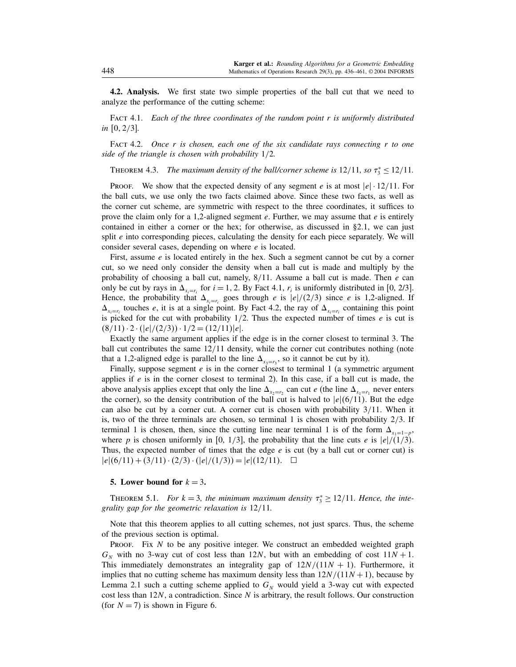4.2. Analysis. We first state two simple properties of the ball cut that we need to analyze the performance of the cutting scheme:

FACT 4.1. Each of the three coordinates of the random point  $r$  is uniformly distributed in  $[0, 2/3]$ .

FACT 4.2. Once r is chosen, each one of the six candidate rays connecting  $r$  to one side of the triangle is chosen with probability 1/2.

THEOREM 4.3. The maximum density of the ball/corner scheme is  $12/11$ , so  $\tau_3^* \le 12/11$ .

**PROOF.** We show that the expected density of any segment e is at most  $|e| \cdot 12/11$ . For the ball cuts, we use only the two facts claimed above. Since these two facts, as well as the corner cut scheme, are symmetric with respect to the three coordinates, it suffices to prove the claim only for a 1,2-aligned segment  $e$ . Further, we may assume that  $e$  is entirely contained in either a corner or the hex; for otherwise, as discussed in §2.1, we can just split  $e$  into corresponding pieces, calculating the density for each piece separately. We will consider several cases, depending on where e is located.

First, assume *e* is located entirely in the hex. Such a segment cannot be cut by a corner cut, so we need only consider the density when a ball cut is made and multiply by the probability of choosing a ball cut, namely,  $8/11$ . Assume a ball cut is made. Then e can only be cut by rays in  $\Delta_{x_i=r_i}$  for  $i=1, 2$ . By Fact 4.1,  $r_i$  is uniformly distributed in [0, 2/3]. Hence, the probability that  $\Delta_{x_i=r_i}$  goes through *e* is  $|e|/(2/3)$  since *e* is 1,2-aligned. If  $\Delta_{x_i=r_i}$  touches e, it is at a single point. By Fact 4.2, the ray of  $\Delta_{x_i=r_i}$  containing this point is picked for the cut with probability  $1/2$ . Thus the expected number of times  $e$  is cut is  $(8/11) \cdot 2 \cdot (|e|/(2/3)) \cdot 1/2 = (12/11)|e|.$ 

Exactly the same argument applies if the edge is in the corner closest to terminal 3. The ball cut contributes the same 12/11 density, while the corner cut contributes nothing (note that a 1,2-aligned edge is parallel to the line  $\Delta_{x_3=r_3}$ , so it cannot be cut by it).

Finally, suppose segment  $e$  is in the corner closest to terminal 1 (a symmetric argument applies if  $e$  is in the corner closest to terminal 2). In this case, if a ball cut is made, the above analysis applies except that only the line  $\Delta_{x_2=r_2}$  can cut e (the line  $\Delta_{x_1=r_1}$  never enters the corner), so the density contribution of the ball cut is halved to  $|e|(6/11)$ . But the edge can also be cut by a corner cut. A corner cut is chosen with probability 3/11. When it is, two of the three terminals are chosen, so terminal 1 is chosen with probability  $2/3$ . If terminal 1 is chosen, then, since the cutting line near terminal 1 is of the form  $\Delta_{x_1=1-p}$ , where p is chosen uniformly in [0, 1/3], the probability that the line cuts e is  $|e|/(1/3)$ . Thus, the expected number of times that the edge  $e$  is cut (by a ball cut or corner cut) is  $|e|(6/11) + (3/11) \cdot (2/3) \cdot (|e|/(1/3)) = |e|(12/11).$ 

#### 5. Lower bound for  $k = 3$ .

THEOREM 5.1. For  $k = 3$ , the minimum maximum density  $\tau_3^* \geq 12/11$ . Hence, the integrality gap for the geometric relaxation is 12/11.

Note that this theorem applies to all cutting schemes, not just sparcs. Thus, the scheme of the previous section is optimal.

PROOF. Fix  $N$  to be any positive integer. We construct an embedded weighted graph  $G_N$  with no 3-way cut of cost less than 12N, but with an embedding of cost  $11N + 1$ . This immediately demonstrates an integrality gap of  $12N/(11N + 1)$ . Furthermore, it implies that no cutting scheme has maximum density less than  $12N/(11N+1)$ , because by Lemma 2.1 such a cutting scheme applied to  $G_N$  would yield a 3-way cut with expected cost less than  $12N$ , a contradiction. Since N is arbitrary, the result follows. Our construction (for  $N = 7$ ) is shown in Figure 6.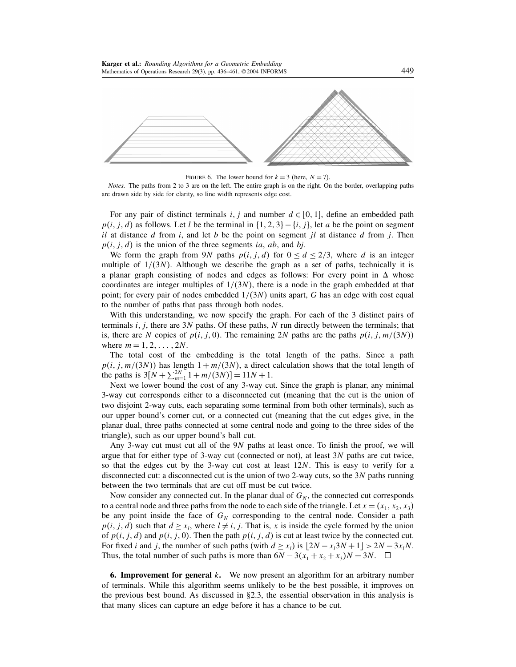

FIGURE 6. The lower bound for  $k = 3$  (here,  $N = 7$ ).

Notes. The paths from 2 to 3 are on the left. The entire graph is on the right. On the border, overlapping paths are drawn side by side for clarity, so line width represents edge cost.

For any pair of distinct terminals i, j and number  $d \in [0, 1]$ , define an embedded path  $p(i, j, d)$  as follows. Let l be the terminal in  $\{1, 2, 3\} - \{i, j\}$ , let a be the point on segment il at distance d from i, and let b be the point on segment jl at distance d from j. Then  $p(i, j, d)$  is the union of the three segments ia, ab, and bj.

We form the graph from 9N paths  $p(i, j, d)$  for  $0 \le d \le 2/3$ , where d is an integer multiple of  $1/(3N)$ . Although we describe the graph as a set of paths, technically it is a planar graph consisting of nodes and edges as follows: For every point in  $\Delta$  whose coordinates are integer multiples of  $1/(3N)$ , there is a node in the graph embedded at that point; for every pair of nodes embedded  $1/(3N)$  units apart, G has an edge with cost equal to the number of paths that pass through both nodes.

With this understanding, we now specify the graph. For each of the 3 distinct pairs of terminals  $i$ ,  $j$ , there are 3N paths. Of these paths, N run directly between the terminals; that is, there are N copies of  $p(i, j, 0)$ . The remaining 2N paths are the paths  $p(i, j, m/(3N))$ where  $m = 1, 2, ..., 2N$ .

The total cost of the embedding is the total length of the paths. Since a path  $p(i, j, m/(3N))$  has length  $1 + m/(3N)$ , a direct calculation shows that the total length of the paths is  $3[N + \sum_{m=1}^{2N} 1 + m/(3N)] = 11N + 1$ .

Next we lower bound the cost of any 3-way cut. Since the graph is planar, any minimal 3-way cut corresponds either to a disconnected cut (meaning that the cut is the union of two disjoint 2-way cuts, each separating some terminal from both other terminals), such as our upper bound's corner cut, or a connected cut (meaning that the cut edges give, in the planar dual, three paths connected at some central node and going to the three sides of the triangle), such as our upper bound's ball cut.

Any 3-way cut must cut all of the 9N paths at least once. To finish the proof, we will argue that for either type of 3-way cut (connected or not), at least  $3N$  paths are cut twice, so that the edges cut by the 3-way cut cost at least  $12N$ . This is easy to verify for a disconnected cut: a disconnected cut is the union of two 2-way cuts, so the 3N paths running between the two terminals that are cut off must be cut twice.

Now consider any connected cut. In the planar dual of  $G_N$ , the connected cut corresponds to a central node and three paths from the node to each side of the triangle. Let  $x = (x_1, x_2, x_3)$ be any point inside the face of  $G_N$  corresponding to the central node. Consider a path  $p(i, j, d)$  such that  $d \geq x_i$ , where  $l \neq i, j$ . That is, x is inside the cycle formed by the union of  $p(i, j, d)$  and  $p(i, j, 0)$ . Then the path  $p(i, j, d)$  is cut at least twice by the connected cut. For fixed *i* and *j*, the number of such paths (with  $d \ge x_i$ ) is  $\lfloor 2N - x_i 3N + 1 \rfloor > 2N - 3x_iN$ . Thus, the total number of such paths is more than  $6N - 3(x_1 + x_2 + x_3)N = 3N$ .  $\Box$ 

**6. Improvement for general k.** We now present an algorithm for an arbitrary number of terminals. While this algorithm seems unlikely to be the best possible, it improves on the previous best bound. As discussed in §2.3, the essential observation in this analysis is that many slices can capture an edge before it has a chance to be cut.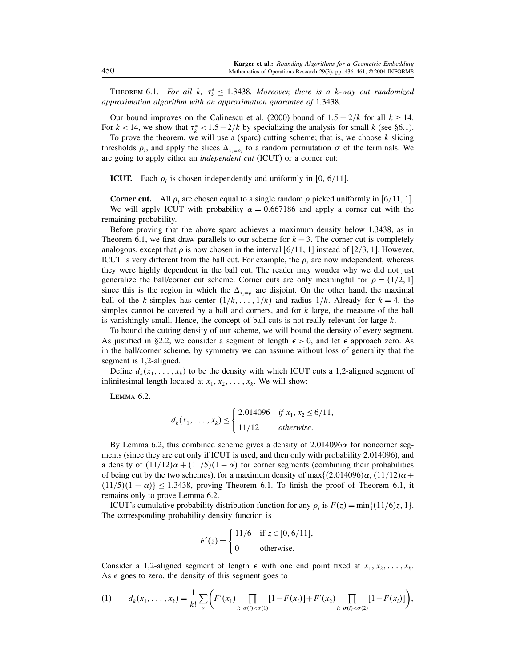THEOREM 6.1. For all k,  $\tau_k^* \leq 1.3438$ . Moreover, there is a k-way cut randomized approximation algorithm with an approximation guarantee of 1.3438.

Our bound improves on the Calinescu et al. (2000) bound of  $1.5 - 2/k$  for all  $k > 14$ . For  $k < 14$ , we show that  $\tau_k^* < 1.5 - 2/k$  by specializing the analysis for small k (see §6.1).

To prove the theorem, we will use a (sparc) cutting scheme; that is, we choose  $k$  slicing thresholds  $\rho_i$ , and apply the slices  $\Delta_{x_i=\rho_i}$  to a random permutation  $\sigma$  of the terminals. We are going to apply either an independent cut (ICUT) or a corner cut:

**ICUT.** Each  $\rho_i$  is chosen independently and uniformly in [0, 6/11].

**Corner cut.** All  $\rho_i$  are chosen equal to a single random  $\rho$  picked uniformly in [6/11, 1]. We will apply ICUT with probability  $\alpha = 0.667186$  and apply a corner cut with the remaining probability.

Before proving that the above sparc achieves a maximum density below 1.3438, as in Theorem 6.1, we first draw parallels to our scheme for  $k = 3$ . The corner cut is completely analogous, except that  $\rho$  is now chosen in the interval [6/11, 1] instead of [2/3, 1]. However, ICUT is very different from the ball cut. For example, the  $\rho_i$  are now independent, whereas they were highly dependent in the ball cut. The reader may wonder why we did not just generalize the ball/corner cut scheme. Corner cuts are only meaningful for  $\rho = (1/2, 1]$ since this is the region in which the  $\Delta_{x_i=\rho}$  are disjoint. On the other hand, the maximal ball of the k-simplex has center  $(1/k, \ldots, 1/k)$  and radius  $1/k$ . Already for  $k = 4$ , the simplex cannot be covered by a ball and corners, and for  $k$  large, the measure of the ball is vanishingly small. Hence, the concept of ball cuts is not really relevant for large  $k$ .

To bound the cutting density of our scheme, we will bound the density of every segment. As justified in §2.2, we consider a segment of length  $\epsilon > 0$ , and let  $\epsilon$  approach zero. As in the ball/corner scheme, by symmetry we can assume without loss of generality that the segment is 1,2-aligned.

Define  $d_k(x_1, \ldots, x_k)$  to be the density with which ICUT cuts a 1,2-aligned segment of infinitesimal length located at  $x_1, x_2, \ldots, x_k$ . We will show:

Lemma 6.2.

$$
d_k(x_1, \ldots, x_k) \leq \begin{cases} 2.014096 & \text{if } x_1, x_2 \leq 6/11, \\ 11/12 & \text{otherwise.} \end{cases}
$$

By Lemma 6.2, this combined scheme gives a density of  $2.014096\alpha$  for noncorner segments (since they are cut only if ICUT is used, and then only with probability 2.014096), and a density of  $(11/12)\alpha + (11/5)(1 - \alpha)$  for corner segments (combining their probabilities of being cut by the two schemes), for a maximum density of max $\{(2.014096)\alpha, (11/12)\alpha +$  $(11/5)(1 - \alpha)$   $\leq$  1.3438, proving Theorem 6.1. To finish the proof of Theorem 6.1, it remains only to prove Lemma 6.2.

ICUT's cumulative probability distribution function for any  $\rho_i$  is  $F(z) = \min\{(11/6)z, 1\}.$ The corresponding probability density function is

$$
F'(z) = \begin{cases} 11/6 & \text{if } z \in [0, 6/11], \\ 0 & \text{otherwise.} \end{cases}
$$

Consider a 1,2-aligned segment of length  $\epsilon$  with one end point fixed at  $x_1, x_2, \ldots, x_k$ . As  $\epsilon$  goes to zero, the density of this segment goes to

$$
(1) \t d_k(x_1,\ldots,x_k)=\frac{1}{k!}\sum_{\sigma}\bigg(F'(x_1)\prod_{i:\sigma(i)<\sigma(1)}[1-F(x_i)]+F'(x_2)\prod_{i:\sigma(i)<\sigma(2)}[1-F(x_i)]\bigg),
$$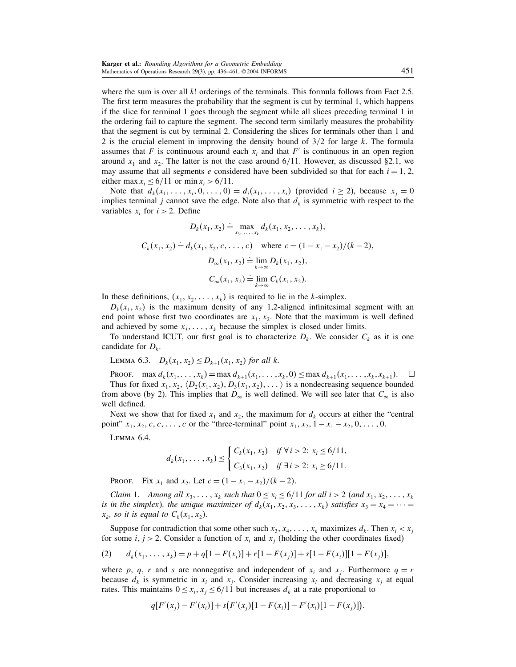where the sum is over all k! orderings of the terminals. This formula follows from Fact 2.5. The first term measures the probability that the segment is cut by terminal 1, which happens if the slice for terminal 1 goes through the segment while all slices preceding terminal 1 in the ordering fail to capture the segment. The second term similarly measures the probability that the segment is cut by terminal 2. Considering the slices for terminals other than 1 and 2 is the crucial element in improving the density bound of  $3/2$  for large k. The formula assumes that F is continuous around each  $x_i$  and that F' is continuous in an open region around  $x_1$  and  $x_2$ . The latter is not the case around 6/11. However, as discussed §2.1, we may assume that all segments e considered have been subdivided so that for each  $i = 1, 2$ , either max  $x_i \le 6/11$  or min  $x_i > 6/11$ .

Note that  $d_k(x_1, \ldots, x_i, 0, \ldots, 0) = d_i(x_1, \ldots, x_i)$  (provided  $i \ge 2$ ), because  $x_j = 0$ implies terminal j cannot save the edge. Note also that  $d_k$  is symmetric with respect to the variables  $x_i$  for  $i > 2$ . Define

$$
D_k(x_1, x_2) \doteq \max_{x_3, \dots, x_k} d_k(x_1, x_2, \dots, x_k),
$$
  
\n
$$
C_k(x_1, x_2) \doteq d_k(x_1, x_2, c, \dots, c) \quad \text{where } c = (1 - x_1 - x_2)/(k - 2),
$$
  
\n
$$
D_{\infty}(x_1, x_2) \doteq \lim_{k \to \infty} D_k(x_1, x_2),
$$
  
\n
$$
C_{\infty}(x_1, x_2) \doteq \lim_{k \to \infty} C_k(x_1, x_2).
$$

In these definitions,  $(x_1, x_2, \ldots, x_k)$  is required to lie in the k-simplex.

 $D_k(x_1, x_2)$  is the maximum density of any 1,2-aligned infinitesimal segment with an end point whose first two coordinates are  $x_1, x_2$ . Note that the maximum is well defined and achieved by some  $x_3, \ldots, x_k$  because the simplex is closed under limits.

To understand ICUT, our first goal is to characterize  $D_k$ . We consider  $C_k$  as it is one candidate for  $D_k$ .

LEMMA 6.3.  $D_k(x_1, x_2) \le D_{k+1}(x_1, x_2)$  for all k.

PROOF. max  $d_k(x_1, ..., x_k) = \max_{k=1} d_{k+1}(x_1, ..., x_k, 0) \le \max_{k=1} d_{k+1}(x_1, ..., x_k, x_{k+1}).$ Thus for fixed  $x_1, x_2, \langle D_2(x_1, x_2), D_3(x_1, x_2), \dots \rangle$  is a nondecreasing sequence bounded from above (by 2). This implies that  $D_{\infty}$  is well defined. We will see later that  $C_{\infty}$  is also well defined.

Next we show that for fixed  $x_1$  and  $x_2$ , the maximum for  $d_k$  occurs at either the "central" point"  $x_1, x_2, c, c, \ldots, c$  or the "three-terminal" point  $x_1, x_2, 1 - x_1 - x_2, 0, \ldots, 0$ .

Lemma 6.4.

$$
d_k(x_1, \ldots, x_k) \leq \begin{cases} C_k(x_1, x_2) & \text{if } \forall i > 2 \colon x_i \leq 6/11, \\ C_3(x_1, x_2) & \text{if } \exists i > 2 \colon x_i \geq 6/11. \end{cases}
$$

PROOF. Fix  $x_1$  and  $x_2$ . Let  $c = (1 - x_1 - x_2)/(k - 2)$ .

Claim 1. Among all  $x_3, \ldots, x_k$  such that  $0 \le x_i \le 6/11$  for all  $i > 2$  (and  $x_1, x_2, \ldots, x_k$ is in the simplex), the unique maximizer of  $d_k(x_1, x_2, x_3, \ldots, x_k)$  satisfies  $x_3 = x_4 = \cdots =$  $x_k$ , so it is equal to  $C_k(x_1, x_2)$ .

Suppose for contradiction that some other such  $x_3, x_4, \ldots, x_k$  maximizes  $d_k$ . Then  $x_i < x_j$ for some  $i, j > 2$ . Consider a function of  $x_i$  and  $x_j$  (holding the other coordinates fixed)

(2) 
$$
d_k(x_1, \ldots, x_k) = p + q[1 - F(x_i)] + r[1 - F(x_j)] + s[1 - F(x_i)][1 - F(x_j)],
$$

where p, q, r and s are nonnegative and independent of  $x_i$  and  $x_j$ . Furthermore  $q = r$ because  $d_k$  is symmetric in  $x_i$  and  $x_j$ . Consider increasing  $x_i$  and decreasing  $x_j$  at equal rates. This maintains  $0 \le x_i, x_j \le 6/11$  but increases  $d_k$  at a rate proportional to

$$
q[F'(x_j) - F'(x_i)] + s(F'(x_j)[1 - F(x_i)] - F'(x_i)[1 - F(x_j)]
$$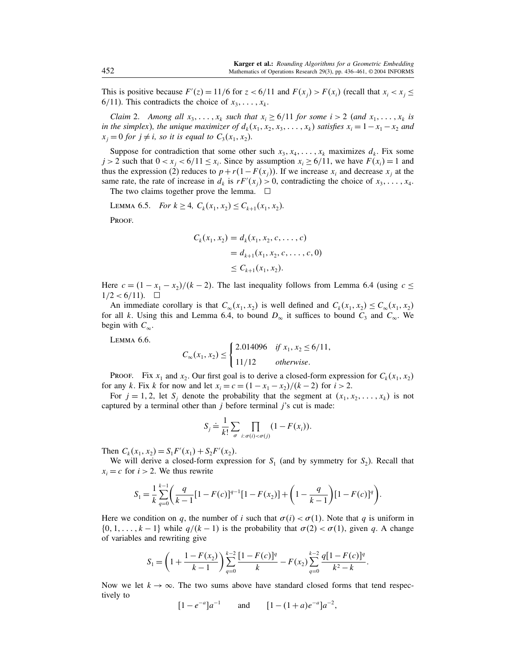This is positive because  $F'(z) = 11/6$  for  $z < 6/11$  and  $F(x_j) > F(x_i)$  (recall that  $x_i < x_j \le$ 6/11). This contradicts the choice of  $x_3, \ldots, x_k$ .

Claim 2. Among all  $x_3, \ldots, x_k$  such that  $x_i \ge 6/11$  for some  $i > 2$  (and  $x_1, \ldots, x_k$  is in the simplex), the unique maximizer of  $d_k(x_1, x_2, x_3, \ldots, x_k)$  satisfies  $x_i = 1 - x_1 - x_2$  and  $x_j = 0$  for  $j \neq i$ , so it is equal to  $C_3(x_1, x_2)$ .

Suppose for contradiction that some other such  $x_3, x_4, \ldots, x_k$  maximizes  $d_k$ . Fix some  $j > 2$  such that  $0 < x_j < 6/11 \le x_i$ . Since by assumption  $x_i \ge 6/11$ , we have  $F(x_i) = 1$  and thus the expression (2) reduces to  $p + r(1 - F(x_j))$ . If we increase  $x_i$  and decrease  $x_j$  at the same rate, the rate of increase in  $d_k$  is  $rF'(x_j) > 0$ , contradicting the choice of  $x_3, \ldots, x_4$ .

The two claims together prove the lemma.  $\Box$ 

LEMMA 6.5. For 
$$
k \ge 4
$$
,  $C_k(x_1, x_2) \le C_{k+1}(x_1, x_2)$ .

PROOF.

$$
C_k(x_1, x_2) = d_k(x_1, x_2, c, \dots, c)
$$
  
=  $d_{k+1}(x_1, x_2, c, \dots, c, 0)$   
 $\leq C_{k+1}(x_1, x_2).$ 

Here  $c = (1 - x_1 - x_2)/(k - 2)$ . The last inequality follows from Lemma 6.4 (using  $c \le$  $1/2 < 6/11$ ).  $\square$ 

An immediate corollary is that  $C_{\infty}(x_1, x_2)$  is well defined and  $C_k(x_1, x_2) \leq C_{\infty}(x_1, x_2)$ for all k. Using this and Lemma 6.4, to bound  $D_{\infty}$  it suffices to bound  $C_3$  and  $C_{\infty}$ . We begin with  $C_{\infty}$ .

Lemma 6.6.

$$
C_{\infty}(x_1, x_2) \le \begin{cases} 2.014096 & \text{if } x_1, x_2 \le 6/11, \\ 11/12 & \text{otherwise.} \end{cases}
$$

PROOF. Fix  $x_1$  and  $x_2$ . Our first goal is to derive a closed-form expression for  $C_k(x_1, x_2)$ for any k. Fix k for now and let  $x_i = c = (1 - x_1 - x_2)/(k - 2)$  for  $i > 2$ .

For  $j = 1, 2$ , let  $S_j$  denote the probability that the segment at  $(x_1, x_2, \ldots, x_k)$  is not captured by a terminal other than  $j$  before terminal  $j$ 's cut is made:

$$
S_j \doteq \frac{1}{k!} \sum_{\sigma} \prod_{i: \sigma(i) < \sigma(j)} (1 - F(x_i)).
$$

Then  $C_k(x_1, x_2) = S_1 F'(x_1) + S_2 F'(x_2)$ .

We will derive a closed-form expression for  $S_1$  (and by symmetry for  $S_2$ ). Recall that  $x_i = c$  for  $i > 2$ . We thus rewrite

$$
S_1 = \frac{1}{k} \sum_{q=0}^{k-1} \left( \frac{q}{k-1} [1 - F(c)]^{q-1} [1 - F(x_2)] + \left( 1 - \frac{q}{k-1} \right) [1 - F(c)]^q \right).
$$

Here we condition on q, the number of i such that  $\sigma(i) < \sigma(1)$ . Note that q is uniform in  $\{0, 1, \ldots, k-1\}$  while  $q/(k-1)$  is the probability that  $\sigma(2) < \sigma(1)$ , given q. A change of variables and rewriting give

$$
S_1 = \left(1 + \frac{1 - F(x_2)}{k - 1}\right) \sum_{q=0}^{k-2} \frac{[1 - F(c)]^q}{k} - F(x_2) \sum_{q=0}^{k-2} \frac{q[1 - F(c)]^q}{k^2 - k}.
$$

Now we let  $k \to \infty$ . The two sums above have standard closed forms that tend respectively to

 $[1 - e^{-a}]a^{-1}$  and  $[1 - (1 + a)e^{-a}]a^{-2}$ ,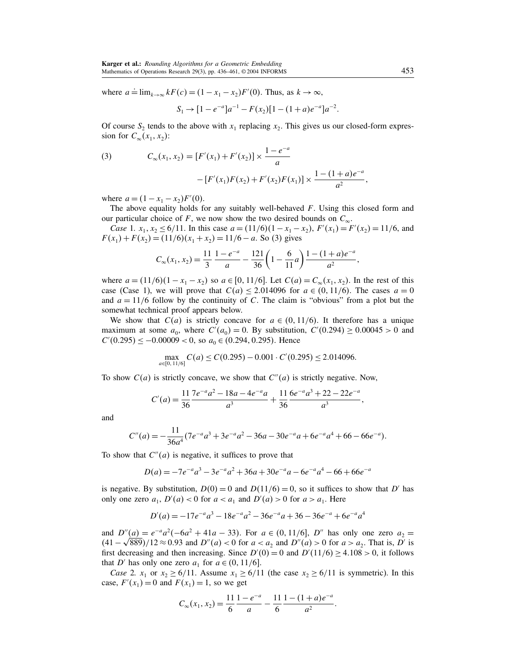where  $a = \lim_{k \to \infty} kF(c) = (1 - x_1 - x_2)F'(0)$ . Thus, as  $k \to \infty$ ,

$$
S_1 \rightarrow [1 - e^{-a}]a^{-1} - F(x_2)[1 - (1 + a)e^{-a}]a^{-2}.
$$

Of course  $S_2$  tends to the above with  $x_1$  replacing  $x_2$ . This gives us our closed-form expression for  $C_{\infty}(x_1, x_2)$ :

(3) 
$$
C_{\infty}(x_1, x_2) = [F'(x_1) + F'(x_2)] \times \frac{1 - e^{-a}}{a}
$$

$$
- [F'(x_1)F(x_2) + F'(x_2)F(x_1)] \times \frac{1 - (1 + a)e^{-a}}{a^2},
$$

where  $a = (1 - x_1 - x_2)F'(0)$ .

The above equality holds for any suitably well-behaved  $F$ . Using this closed form and our particular choice of F, we now show the two desired bounds on  $C_{\infty}$ .

Case 1.  $x_1, x_2 \le 6/11$ . In this case  $a = (11/6)(1 - x_1 - x_2)$ ,  $F'(x_1) = F'(x_2) = 11/6$ , and  $F(x_1) + F(x_2) = (11/6)(x_1 + x_2) = 11/6 - a$ . So (3) gives

$$
C_{\infty}(x_1, x_2) = \frac{11}{3} \frac{1 - e^{-a}}{a} - \frac{121}{36} \left( 1 - \frac{6}{11} a \right) \frac{1 - (1 + a)e^{-a}}{a^2},
$$

where  $a = (11/6)(1 - x_1 - x_2)$  so  $a \in [0, 11/6]$ . Let  $C(a) = C_\infty(x_1, x_2)$ . In the rest of this case (Case 1), we will prove that  $C(a) \le 2.014096$  for  $a \in (0, 11/6)$ . The cases  $a = 0$ and  $a = 11/6$  follow by the continuity of C. The claim is "obvious" from a plot but the somewhat technical proof appears below.

We show that  $C(a)$  is strictly concave for  $a \in (0, 11/6)$ . It therefore has a unique maximum at some  $a_0$ , where  $C'(a_0) = 0$ . By substitution,  $C'(0.294) \ge 0.00045 > 0$  and  $C'(0.295) \le -0.00009 < 0$ , so  $a_0 \in (0.294, 0.295)$ . Hence

$$
\max_{a \in [0, 11/6]} C(a) \le C(0.295) - 0.001 \cdot C'(0.295) \le 2.014096.
$$

To show  $C(a)$  is strictly concave, we show that  $C''(a)$  is strictly negative. Now,

$$
C'(a) = \frac{11}{36} \frac{7e^{-a}a^2 - 18a - 4e^{-a}a}{a^3} + \frac{11}{36} \frac{6e^{-a}a^3 + 22 - 22e^{-a}}{a^3},
$$

and

$$
C''(a) = -\frac{11}{36a^4}(7e^{-a}a^3 + 3e^{-a}a^2 - 36a - 30e^{-a}a + 6e^{-a}a^4 + 66 - 66e^{-a}).
$$

To show that  $C''(a)$  is negative, it suffices to prove that

$$
D(a) = -7e^{-a}a^{3} - 3e^{-a}a^{2} + 36a + 30e^{-a}a - 6e^{-a}a^{4} - 66 + 66e^{-a}
$$

is negative. By substitution,  $D(0) = 0$  and  $D(11/6) = 0$ , so it suffices to show that D' has only one zero  $a_1$ ,  $D'(a) < 0$  for  $a < a_1$  and  $D'(a) > 0$  for  $a > a_1$ . Here

$$
D'(a) = -17e^{-a}a^3 - 18e^{-a}a^2 - 36e^{-a}a + 36 - 36e^{-a} + 6e^{-a}a^4
$$

and  $D''(a) = e^{-a}a^2(-6a^2 + 41a - 33)$ . For  $a \in (0, 11/6]$ , D'' has only one zero  $a_2 =$  $(41 - \sqrt{889})/12 \approx 0.93$  and  $D''(a) < 0$  for  $a < a_2$  and  $D''(a) > 0$  for  $a > a_2$ . That is, D' is first decreasing and then increasing. Since  $D'(0) = 0$  and  $D'(11/6) \ge 4.108 > 0$ , it follows that D' has only one zero  $a_1$  for  $a \in (0, 11/6]$ .

*Case* 2.  $x_1$  or  $x_2 \ge 6/11$ . Assume  $x_1 \ge 6/11$  (the case  $x_2 \ge 6/11$  is symmetric). In this case,  $F'(x_1) = 0$  and  $F(x_1) = 1$ , so we get

$$
C_{\infty}(x_1, x_2) = \frac{11}{6} \frac{1 - e^{-a}}{a} - \frac{11}{6} \frac{1 - (1 + a)e^{-a}}{a^2}.
$$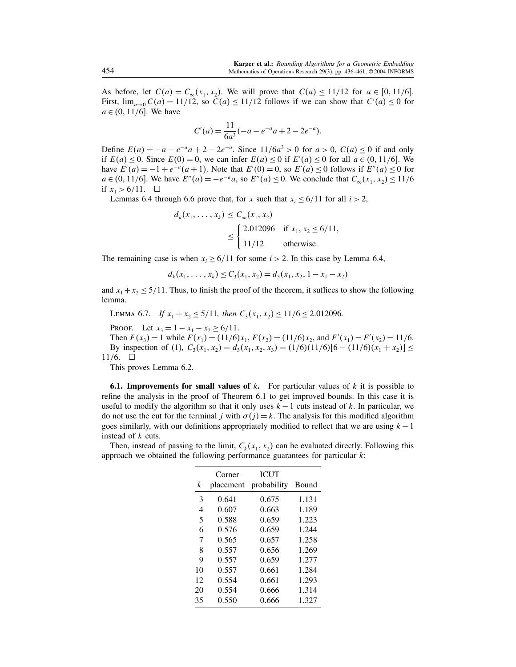As before, let  $C(a) = C_{\infty}(x_1, x_2)$ . We will prove that  $C(a) \le 11/12$  for  $a \in [0, 11/6]$ . First,  $\lim_{a\to 0} C(a) = 11/12$ , so  $C(a) \le 11/12$  follows if we can show that  $C'(a) \le 0$  for  $a \in (0, 11/6]$ . We have

$$
C'(a) = \frac{11}{6a^3}(-a - e^{-a}a + 2 - 2e^{-a}).
$$

Define  $E(a) = -a - e^{-a}a + 2 - 2e^{-a}$ . Since  $11/6a^3 > 0$  for  $a > 0$ ,  $C(a) \le 0$  if and only if  $E(a) \le 0$ . Since  $E(0) = 0$ , we can infer  $E(a) \le 0$  if  $E'(a) \le 0$  for all  $a \in (0, 11/6]$ . We have  $E'(a) = -1 + e^{-a}(a+1)$ . Note that  $E'(0) = 0$ , so  $E'(a) \le 0$  follows if  $E''(a) \le 0$  for  $a \in (0, 11/6]$ . We have  $E''(a) = -e^{-a}a$ , so  $E''(a) \le 0$ . We conclude that  $C_{\infty}(x_1, x_2) \le 11/6$ if  $x_1 > 6/11$ .  $\Box$ 

Lemmas 6.4 through 6.6 prove that, for x such that  $x_i \le 6/11$  for all  $i > 2$ ,

$$
d_k(x_1, ..., x_k) \le C_\infty(x_1, x_2)
$$
  
\n
$$
\le \begin{cases} 2.012096 & \text{if } x_1, x_2 \le 6/11, \\ 11/12 & \text{otherwise.} \end{cases}
$$

The remaining case is when  $x_i \ge 6/11$  for some  $i > 2$ . In this case by Lemma 6.4,

 $d_k(x_1, \ldots, x_k) \leq C_3(x_1, x_2) = d_3(x_1, x_2, 1 - x_1 - x_2)$ 

and  $x_1 + x_2 \le 5/11$ . Thus, to finish the proof of the theorem, it suffices to show the following lemma.

LEMMA 6.7. If  $x_1 + x_2 \le 5/11$ , then  $C_3(x_1, x_2) \le 11/6 \le 2.012096$ .

PROOF. Let  $x_3 = 1 - x_1 - x_2 \ge 6/11$ .

Then  $F(x_3) = 1$  while  $F(x_1) = (11/6)x_1$ ,  $F(x_2) = (11/6)x_2$ , and  $F'(x_1) = F'(x_2) = 11/6$ . By inspection of (1),  $C_3(x_1, x_2) = d_3(x_1, x_2, x_3) = (1/6)(11/6)[6 - (11/6)(x_1 + x_2)] \le$ 11/6.  $\square$ 

This proves Lemma 6.2.

**6.1. Improvements for small values of k.** For particular values of k it is possible to refine the analysis in the proof of Theorem 6.1 to get improved bounds. In this case it is useful to modify the algorithm so that it only uses  $k - 1$  cuts instead of k. In particular, we do not use the cut for the terminal j with  $\sigma(j) = k$ . The analysis for this modified algorithm goes similarly, with our definitions appropriately modified to reflect that we are using  $k - 1$ instead of k cuts.

Then, instead of passing to the limit,  $C_k(x_1, x_2)$  can be evaluated directly. Following this approach we obtained the following performance guarantees for particular  $k$ :

| k  | Corner<br>placement | <b>ICUT</b><br>probability | Bound |
|----|---------------------|----------------------------|-------|
| 3  | 0.641               | 0.675                      | 1.131 |
| 4  | 0.607               | 0.663                      | 1.189 |
| 5  | 0.588               | 0.659                      | 1.223 |
| 6  | 0.576               | 0.659                      | 1.244 |
| 7  | 0.565               | 0.657                      | 1.258 |
| 8  | 0.557               | 0.656                      | 1.269 |
| 9  | 0.557               | 0.659                      | 1.277 |
| 10 | 0.557               | 0.661                      | 1.284 |
| 12 | 0.554               | 0.661                      | 1.293 |
| 20 | 0.554               | 0.666                      | 1.314 |
| 35 | 0.550               | 0.666                      | 1.327 |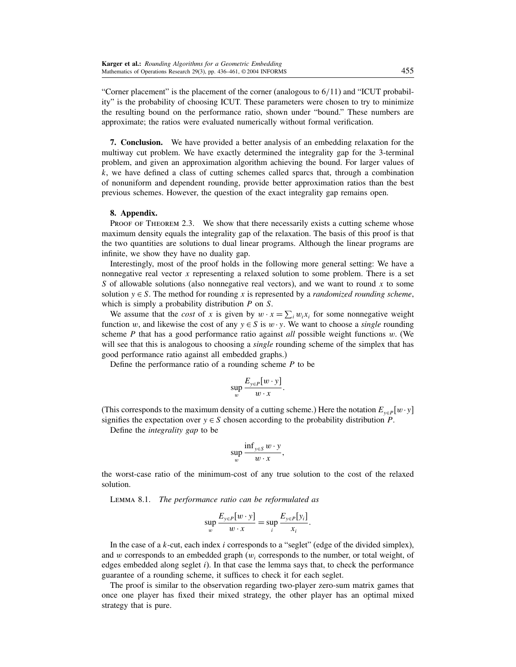"Corner placement" is the placement of the corner (analogous to 6/11) and "ICUT probability" is the probability of choosing ICUT. These parameters were chosen to try to minimize the resulting bound on the performance ratio, shown under "bound." These numbers are approximate; the ratios were evaluated numerically without formal verification.

7. Conclusion. We have provided a better analysis of an embedding relaxation for the multiway cut problem. We have exactly determined the integrality gap for the 3-terminal problem, and given an approximation algorithm achieving the bound. For larger values of  $k$ , we have defined a class of cutting schemes called sparcs that, through a combination of nonuniform and dependent rounding, provide better approximation ratios than the best previous schemes. However, the question of the exact integrality gap remains open.

## 8. Appendix.

PROOF OF THEOREM 2.3. We show that there necessarily exists a cutting scheme whose maximum density equals the integrality gap of the relaxation. The basis of this proof is that the two quantities are solutions to dual linear programs. Although the linear programs are infinite, we show they have no duality gap.

Interestingly, most of the proof holds in the following more general setting: We have a nonnegative real vector  $x$  representing a relaxed solution to some problem. There is a set S of allowable solutions (also nonnegative real vectors), and we want to round x to some solution  $y \in S$ . The method for rounding x is represented by a *randomized rounding scheme*, which is simply a probability distribution P on S.

We assume that the *cost* of x is given by  $w \cdot x = \sum_i w_i x_i$  for some nonnegative weight function w, and likewise the cost of any  $y \in S$  is  $w \cdot y$ . We want to choose a *single* rounding scheme  $P$  that has a good performance ratio against *all* possible weight functions  $w$ . (We will see that this is analogous to choosing a *single* rounding scheme of the simplex that has good performance ratio against all embedded graphs.)

Define the performance ratio of a rounding scheme  $P$  to be

$$
\sup_{w}\frac{E_{y\in P}[w\cdot y]}{w\cdot x}.
$$

(This corresponds to the maximum density of a cutting scheme.) Here the notation  $E_{y \in P}[w \cdot y]$ signifies the expectation over  $y \in S$  chosen according to the probability distribution P.

Define the integrality gap to be

$$
\sup_{w}\frac{\inf_{y\in S}w\cdot y}{w\cdot x},
$$

the worst-case ratio of the minimum-cost of any true solution to the cost of the relaxed solution.

Lemma 8.1. The performance ratio can be reformulated as

$$
\sup_{w} \frac{E_{y \in P}[w \cdot y]}{w \cdot x} = \sup_{i} \frac{E_{y \in P}[y_i]}{x_i}
$$

.

In the case of a k-cut, each index i corresponds to a "seglet" (edge of the divided simplex), and w corresponds to an embedded graph  $(w<sub>i</sub>$  corresponds to the number, or total weight, of edges embedded along seglet  $i$ ). In that case the lemma says that, to check the performance guarantee of a rounding scheme, it suffices to check it for each seglet.

The proof is similar to the observation regarding two-player zero-sum matrix games that once one player has fixed their mixed strategy, the other player has an optimal mixed strategy that is pure.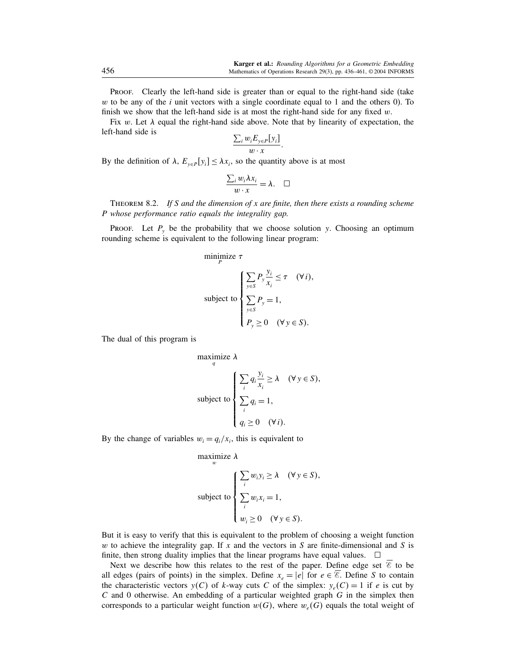Proof. Clearly the left-hand side is greater than or equal to the right-hand side (take  $w$  to be any of the *i* unit vectors with a single coordinate equal to 1 and the others 0). To finish we show that the left-hand side is at most the right-hand side for any fixed  $w$ .

Fix w. Let  $\lambda$  equal the right-hand side above. Note that by linearity of expectation, the left-hand side is

$$
\frac{\sum_i w_i E_{y \in P}[y_i]}{w \cdot x}.
$$

By the definition of  $\lambda$ ,  $E_{y \in P}[y_i] \leq \lambda x_i$ , so the quantity above is at most

$$
\frac{\sum_i w_i \lambda x_i}{w \cdot x} = \lambda. \quad \Box
$$

THEOREM 8.2. If S and the dimension of x are finite, then there exists a rounding scheme P whose performance ratio equals the integrality gap.

Proof. Let  $P_y$  be the probability that we choose solution y. Choosing an optimum rounding scheme is equivalent to the following linear program:

minimize  $\tau$ 

$$
\text{subject to } \begin{cases} \sum_{y \in S} P_y \frac{y_i}{x_i} \le \tau & (\forall i), \\ \sum_{y \in S} P_y = 1, \\ P_y \ge 0 & (\forall y \in S). \end{cases}
$$

The dual of this program is

maximize 
$$
\lambda
$$
  
\n  
\n
$$
\sum_{i} q_{i} \frac{y_{i}}{x_{i}} \geq \lambda \quad (\forall y \in S),
$$
\nsubject to\n
$$
\sum_{i} q_{i} = 1,
$$
\n
$$
q_{i} \geq 0 \quad (\forall i).
$$

By the change of variables  $w_i = q_i/x_i$ , this is equivalent to

maximize 
$$
\lambda
$$
  
\n
$$
\text{subject to } \begin{cases}\n\sum_{i} w_i y_i \ge \lambda & (\forall y \in S), \\
\sum_{i} w_i x_i = 1, \\
w_i \ge 0 & (\forall y \in S).\n\end{cases}
$$

But it is easy to verify that this is equivalent to the problem of choosing a weight function w to achieve the integrality gap. If x and the vectors in S are finite-dimensional and S is finite, then strong duality implies that the linear programs have equal values.  $\Box$ 

Next we describe how this relates to the rest of the paper. Define edge set  $\mathscr E$  to be all edges (pairs of points) in the simplex. Define  $x_e = |e|$  for  $e \in \mathcal{E}$ . Define S to contain the characteristic vectors  $y(C)$  of k-way cuts C of the simplex:  $y_e(C) = 1$  if e is cut by  $C$  and 0 otherwise. An embedding of a particular weighted graph  $G$  in the simplex then corresponds to a particular weight function  $w(G)$ , where  $w_e(G)$  equals the total weight of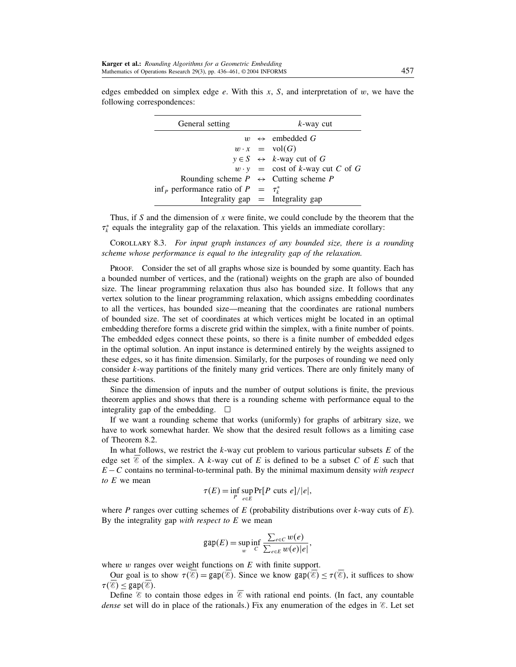| General setting                                      | $k$ -way cut |                                                |
|------------------------------------------------------|--------------|------------------------------------------------|
|                                                      |              | $w \leftrightarrow$ embedded G                 |
|                                                      |              | $w \cdot x = \text{vol}(G)$                    |
|                                                      |              | $y \in S \leftrightarrow k$ -way cut of G      |
|                                                      |              | $w \cdot y = \csc{b}$ cost of k-way cut C of G |
| Rounding scheme $P \leftrightarrow$ Cutting scheme P |              |                                                |
| inf <sub>p</sub> performance ratio of $P = \tau_k^*$ |              |                                                |
|                                                      |              | Integrality $gap$ = Integrality gap            |

Thus, if S and the dimension of x were finite, we could conclude by the theorem that the  $\tau_k^*$  equals the integrality gap of the relaxation. This yields an immediate corollary:

Corollary 8.3. For input graph instances of any bounded size, there is a rounding scheme whose performance is equal to the integrality gap of the relaxation.

PROOF. Consider the set of all graphs whose size is bounded by some quantity. Each has a bounded number of vertices, and the (rational) weights on the graph are also of bounded size. The linear programming relaxation thus also has bounded size. It follows that any vertex solution to the linear programming relaxation, which assigns embedding coordinates to all the vertices, has bounded size—meaning that the coordinates are rational numbers of bounded size. The set of coordinates at which vertices might be located in an optimal embedding therefore forms a discrete grid within the simplex, with a finite number of points. The embedded edges connect these points, so there is a finite number of embedded edges in the optimal solution. An input instance is determined entirely by the weights assigned to these edges, so it has finite dimension. Similarly, for the purposes of rounding we need only consider k-way partitions of the finitely many grid vertices. There are only finitely many of these partitions.

Since the dimension of inputs and the number of output solutions is finite, the previous theorem applies and shows that there is a rounding scheme with performance equal to the integrality gap of the embedding.  $\square$ 

If we want a rounding scheme that works (uniformly) for graphs of arbitrary size, we have to work somewhat harder. We show that the desired result follows as a limiting case of Theorem 8.2.

In what follows, we restrict the  $k$ -way cut problem to various particular subsets  $E$  of the edge set  $\mathscr E$  of the simplex. A k-way cut of E is defined to be a subset C of E such that  $E - C$  contains no terminal-to-terminal path. By the minimal maximum density with respect to E we mean

$$
\tau(E) = \inf_{P} \sup_{e \in E} \Pr[P \text{ cuts } e]/|e|,
$$

where P ranges over cutting schemes of E (probability distributions over  $k$ -way cuts of E). By the integrality gap *with respect to*  $E$  we mean

$$
\text{gap}(E) = \sup_{w} \inf_{C} \frac{\sum_{e \in C} w(e)}{\sum_{e \in E} w(e)|e|},
$$

where  $w$  ranges over weight functions on  $E$  with finite support.

Our goal is to show  $\tau(\mathcal{E}) = \text{gap}(\mathcal{E})$ . Since we know  $\text{gap}(\mathcal{E}) \leq \tau(\mathcal{E})$ , it suffices to show  $\tau(\mathscr{E}) \leq \text{gap}(\mathscr{E}).$ 

Define  $\mathscr E$  to contain those edges in  $\mathscr E$  with rational end points. (In fact, any countable dense set will do in place of the rationals.) Fix any enumeration of the edges in  $\mathscr{E}$ . Let set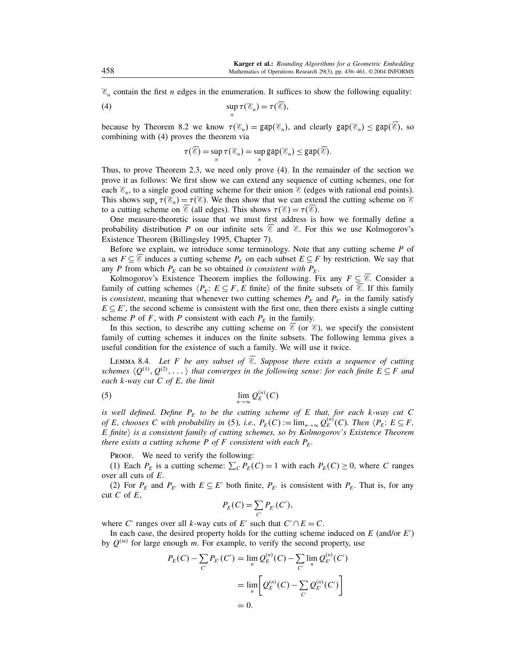$\mathscr{E}_n$  contain the first *n* edges in the enumeration. It suffices to show the following equality:

(4) 
$$
\sup_n \tau(\mathscr{C}_n) = \tau(\overline{\mathscr{C}}),
$$

because by Theorem 8.2 we know  $\tau(\mathscr{E}_n) = \text{gap}(\mathscr{E}_n)$ , and clearly  $\text{gap}(\mathscr{E}_n) \leq \text{gap}(\mathscr{E})$ , so combining with (4) proves the theorem via

$$
\tau(\overline{\mathscr{C}})=\sup_n \tau(\mathscr{C}_n)=\sup_n \text{gap}(\mathscr{C}_n)\leq \text{gap}(\overline{\mathscr{C}}).
$$

Thus, to prove Theorem 2.3, we need only prove (4). In the remainder of the section we prove it as follows: We first show we can extend any sequence of cutting schemes, one for each  $\mathscr{E}_n$ , to a single good cutting scheme for their union  $\mathscr{E}$  (edges with rational end points). This shows  $\sup_n \tau(\mathcal{E}_n) = \tau(\mathcal{E})$ . We then show that we can extend the cutting scheme on  $\mathcal{E}$ to a cutting scheme on  $\mathscr{E}$  (all edges). This shows  $\tau(\mathscr{E}) = \tau(\mathscr{E})$ .

One measure-theoretic issue that we must first address is how we formally define a probability distribution P on our infinite sets  $\mathscr E$  and  $\mathscr E$ . For this we use Kolmogorov's Existence Theorem (Billingsley 1995, Chapter 7).

Before we explain, we introduce some terminology. Note that any cutting scheme  $P$  of a set  $F \subseteq \mathscr{E}$  induces a cutting scheme  $P_E$  on each subset  $E \subseteq F$  by restriction. We say that any P from which  $P_E$  can be so obtained is consistent with  $P_E$ .

Kolmogorov's Existence Theorem implies the following. Fix any  $F \subseteq \mathscr{E}$ . Consider a family of cutting schemes  $\langle P_E : E \subseteq F, E \text{ finite} \rangle$  of the finite subsets of  $\mathscr{E}$ . If this family is consistent, meaning that whenever two cutting schemes  $P_E$  and  $P_{E'}$  in the family satisfy  $E \subseteq E'$ , the second scheme is consistent with the first one, then there exists a single cutting scheme P of F, with P consistent with each  $P_E$  in the family.

In this section, to describe any cutting scheme on  $\mathscr E$  (or  $\mathscr E$ ), we specify the consistent family of cutting schemes it induces on the finite subsets. The following lemma gives a useful condition for the existence of such a family. We will use it twice.

LEMMA 8.4. Let F be any subset of  $\overline{\mathscr{E}}$ . Suppose there exists a sequence of cutting schemes  $\langle Q^{(1)}, Q^{(2)}, \dots \rangle$  that converges in the following sense: for each finite  $E \subseteq F$  and each  $k$ -way cut  $C$  of  $E$ , the limit

$$
\lim_{n \to \infty} Q_E^{(n)}(C)
$$

is well defined. Define  $P_F$  to be the cutting scheme of E that, for each k-way cut C of E, chooses C with probability in (5), i.e.,  $P_E(C) := \lim_{n \to \infty} Q_E^{(n)}(C)$ . Then  $\langle P_E : E \subseteq F$ ,  $E$  finite) is a consistent family of cutting schemes, so by Kolmogorov's Existence Theorem there exists a cutting scheme P of F consistent with each  $P_F$ .

PROOF. We need to verify the following:

(1) Each  $P_E$  is a cutting scheme:  $\sum_{C} P_E(C) = 1$  with each  $P_E(C) \ge 0$ , where C ranges over all cuts of E.

(2) For  $P_E$  and  $P_{E'}$  with  $E \subseteq E'$  both finite,  $P_{E'}$  is consistent with  $P_E$ . That is, for any cut C of  $E$ ,

$$
P_E(C) = \sum_{C'} P_{E'}(C'),
$$

where C' ranges over all k-way cuts of E' such that  $C' \cap E = C$ .

In each case, the desired property holds for the cutting scheme induced on  $E$  (and/or  $E'$ ) by  $Q^{(m)}$  for large enough m. For example, to verify the second property, use

$$
P_E(C) - \sum_{C'} P_{E'}(C') = \lim_{n} Q_{E}^{(n)}(C) - \sum_{C'} \lim_{n} Q_{E'}^{(n)}(C')
$$
  
= 
$$
\lim_{n} \left[ Q_{E}^{(n)}(C) - \sum_{C'} Q_{E'}^{(n)}(C') \right]
$$
  
= 0.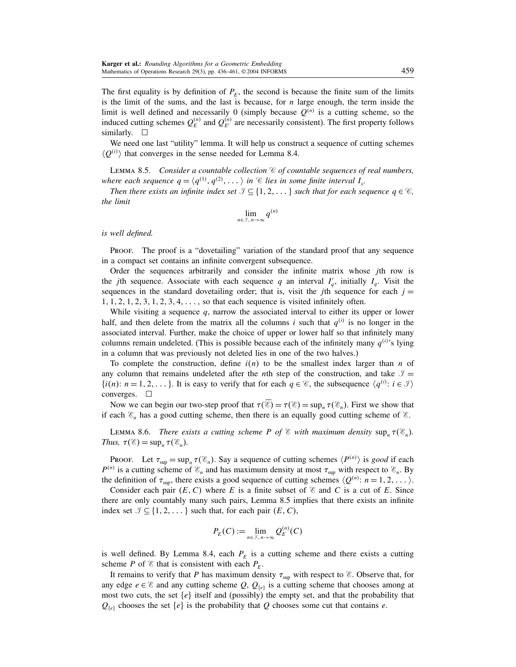The first equality is by definition of  $P_E$ , the second is because the finite sum of the limits is the limit of the sums, and the last is because, for  $n$  large enough, the term inside the limit is well defined and necessarily 0 (simply because  $Q^{(n)}$  is a cutting scheme, so the induced cutting schemes  $Q_E^{(n)}$  and  $Q_{E'}^{(n)}$  are necessarily consistent). The first property follows similarly.

We need one last "utility" lemma. It will help us construct a sequence of cutting schemes  $\langle Q^{(i)} \rangle$  that converges in the sense needed for Lemma 8.4.

LEMMA 8.5. Consider a countable collection  $\mathcal C$  of countable sequences of real numbers, where each sequence  $q = \langle q^{(1)}, q^{(2)}, \ldots \rangle$  in  $\mathscr C$  lies in some finite interval  $I_s$ .

Then there exists an infinite index set  $\mathcal{F} \subseteq \{1, 2, \dots\}$  such that for each sequence  $q \in \mathcal{C}$ , the limit

$$
\lim_{n\in\mathcal{I}, n\to\infty} q^{(n)}
$$

#### is well defined.

Proof. The proof is a "dovetailing" variation of the standard proof that any sequence in a compact set contains an infinite convergent subsequence.

Order the sequences arbitrarily and consider the infinite matrix whose jth row is the *j*th sequence. Associate with each sequence q an interval  $I'_q$ , initially  $I_q$ . Visit the sequences in the standard dovetailing order; that is, visit the jth sequence for each  $j =$  $1, 1, 2, 1, 2, 3, 1, 2, 3, 4, \ldots$ , so that each sequence is visited infinitely often.

While visiting a sequence  $q$ , narrow the associated interval to either its upper or lower half, and then delete from the matrix all the columns i such that  $q^{(i)}$  is no longer in the associated interval. Further, make the choice of upper or lower half so that infinitely many columns remain undeleted. (This is possible because each of the infinitely many  $q^{(i)}$ 's lying in a column that was previously not deleted lies in one of the two halves.)

To complete the construction, define  $i(n)$  to be the smallest index larger than n of any column that remains undeleted after the *n*th step of the construction, and take  $\mathcal{I} =$  $\{i(n): n = 1, 2, \dots\}$ . It is easy to verify that for each  $q \in \mathcal{C}$ , the subsequence  $\langle q^{(i)}: i \in \mathcal{I} \rangle$ converges.  $\square$ 

Now we can begin our two-step proof that  $\tau(\mathscr{E}) = \tau(\mathscr{E}) = \sup_n \tau(\mathscr{E}_n)$ . First we show that if each  $\mathscr{E}_n$  has a good cutting scheme, then there is an equally good cutting scheme of  $\mathscr{E}_n$ .

LEMMA 8.6. There exists a cutting scheme P of  $\mathscr E$  with maximum density  $\sup_n \tau(\mathscr E_n)$ . Thus,  $\tau(\mathscr{E}) = \sup_n \tau(\mathscr{E}_n)$ .

PROOF. Let  $\tau_{\text{sup}} = \sup_n \tau(\mathcal{E}_n)$ . Say a sequence of cutting schemes  $\langle P^{(n)} \rangle$  is good if each  $P^{(n)}$  is a cutting scheme of  $\mathcal{E}_n$  and has maximum density at most  $\tau_{\text{sup}}$  with respect to  $\mathcal{E}_n$ . By the definition of  $\tau_{\text{sup}}$ , there exists a good sequence of cutting schemes  $\langle Q^{(n)}: n = 1, 2, \dots \rangle$ .

Consider each pair  $(E, C)$  where E is a finite subset of  $\mathscr E$  and C is a cut of E. Since there are only countably many such pairs, Lemma 8.5 implies that there exists an infinite index set  $\mathcal{I} \subseteq \{1, 2, \dots\}$  such that, for each pair  $(E, C)$ ,

$$
P_E(C) := \lim_{n \in \mathcal{J}, n \to \infty} Q_E^{(n)}(C)
$$

is well defined. By Lemma 8.4, each  $P_E$  is a cutting scheme and there exists a cutting scheme P of  $\mathscr E$  that is consistent with each  $P_E$ .

It remains to verify that P has maximum density  $\tau_{\text{sup}}$  with respect to  $\mathscr{E}$ . Observe that, for any edge  $e \in \mathcal{E}$  and any cutting scheme Q,  $Q_{\{e\}}$  is a cutting scheme that chooses among at most two cuts, the set  $\{e\}$  itself and (possibly) the empty set, and that the probability that  $Q_{\{e\}}$  chooses the set  $\{e\}$  is the probability that Q chooses some cut that contains e.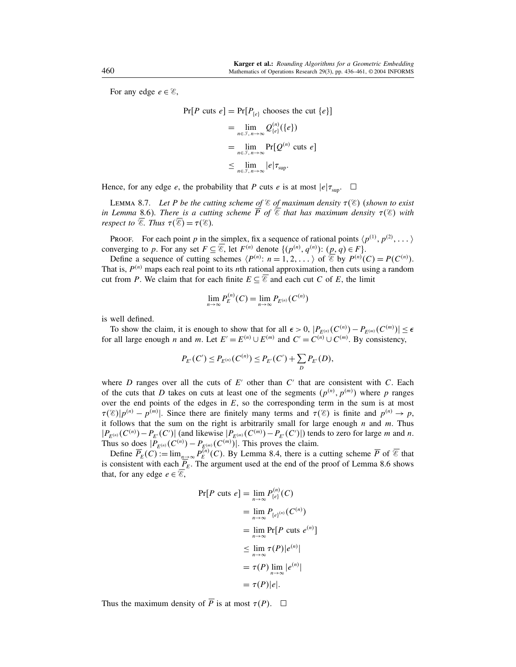For any edge  $e \in \mathcal{E}$ ,

$$
\Pr[P \text{ cuts } e] = \Pr[P_{\{e\}} \text{ chooses the cut } \{e\}]
$$

$$
= \lim_{n \in \mathcal{F}, n \to \infty} Q_{\{e\}}^{(n)}(\{e\})
$$

$$
= \lim_{n \in \mathcal{F}, n \to \infty} \Pr[Q^{(n)} \text{ cuts } e]
$$

$$
\leq \lim_{n \in \mathcal{F}, n \to \infty} |e| \tau_{\text{sup}}.
$$

Hence, for any edge e, the probability that P cuts e is at most  $|e|\tau_{\text{sun}}$ .  $\Box$ 

LEMMA 8.7. Let P be the cutting scheme of  $\mathscr E$  of maximum density  $\tau(\mathscr E)$  (shown to exist in Lemma 8.6). There is a cutting scheme P of  $\mathscr E$  that has maximum density  $\tau(\mathscr E)$  with respect to  $\mathscr{E}$ . Thus  $\tau(\mathscr{E}) = \tau(\mathscr{E})$ .

PROOF. For each point p in the simplex, fix a sequence of rational points  $\langle p^{(1)}, p^{(2)}, \dots \rangle$ converging to p. For any set  $F \subseteq \overline{\mathcal{E}}$ , let  $F^{(n)}$  denote  $\{(p^{(n)}, q^{(n)}): (\underline{p}, q) \in F\}$ .

Define a sequence of cutting schemes  $\langle P^{(n)}: n = 1, 2, ... \rangle$  of  $\overline{\mathscr{E}}$  by  $P^{(n)}(C) = P(C^{(n)})$ . That is,  $P^{(n)}$  maps each real point to its nth rational approximation, then cuts using a random cut from P. We claim that for each finite  $E \subseteq \mathscr{E}$  and each cut C of E, the limit

$$
\lim_{n\to\infty}P_E^{(n)}(C)=\lim_{n\to\infty}P_{E^{(n)}}(C^{(n)})
$$

is well defined.

To show the claim, it is enough to show that for all  $\epsilon > 0$ ,  $|P_{E^{(n)}}(C^{(n)}) - P_{E^{(m)}}(C^{(m)})| \le \epsilon$ for all large enough *n* and *m*. Let  $E' = E^{(n)} \cup E^{(m)}$  and  $C' = C^{(n)} \cup C^{(m)}$ . By consistency,

$$
P_{E'}(C') \le P_{E^{(n)}}(C^{(n)}) \le P_{E'}(C') + \sum_D P_{E'}(D),
$$

where D ranges over all the cuts of  $E'$  other than  $C'$  that are consistent with C. Each of the cuts that D takes on cuts at least one of the segments  $(p^{(n)}, p^{(m)})$  where p ranges over the end points of the edges in  $E$ , so the corresponding term in the sum is at most  $\tau(\mathcal{E})|p^{(n)}-p^{(m)}|$ . Since there are finitely many terms and  $\tau(\mathcal{E})$  is finite and  $p^{(n)} \to p$ , it follows that the sum on the right is arbitrarily small for large enough  $n$  and  $m$ . Thus  $|P_{E^{(n)}}(C^{(n)}) - P_{E'}(C')|$  (and likewise  $|P_{E^{(m)}}(C^{(m)}) - P_{E'}(C')|$ ) tends to zero for large m and n. Thus so does  $|P_{E^{(n)}}(C^{(n)}) - P_{E^{(m)}_{(n)}}(C^{(m)})|$ . This proves the claim.

Define  $\overline{P}_E(C) := \lim_{n \to \infty} P_E^{(n)}(C)$ . By Lemma 8.4, there is a cutting scheme  $\overline{P}$  of  $\overline{\mathscr{E}}$  that is consistent with each  $P_E$ . The argument used at the end of the proof of Lemma 8.6 shows that, for any edge  $e \in \mathcal{E}$ ,

$$
\Pr[P \text{ cuts } e] = \lim_{n \to \infty} P_{\{e\}}^{(n)}(C)
$$
  
= 
$$
\lim_{n \to \infty} P_{\{e\}^{(n)}}(C^{(n)})
$$
  
= 
$$
\lim_{n \to \infty} \Pr[P \text{ cuts } e^{(n)}]
$$
  

$$
\leq \lim_{n \to \infty} \tau(P)|e^{(n)}|
$$
  
= 
$$
\tau(P) \lim_{n \to \infty} |e^{(n)}|
$$
  
= 
$$
\tau(P)|e|.
$$

Thus the maximum density of  $\overline{P}$  is at most  $\tau(P)$ .  $\Box$